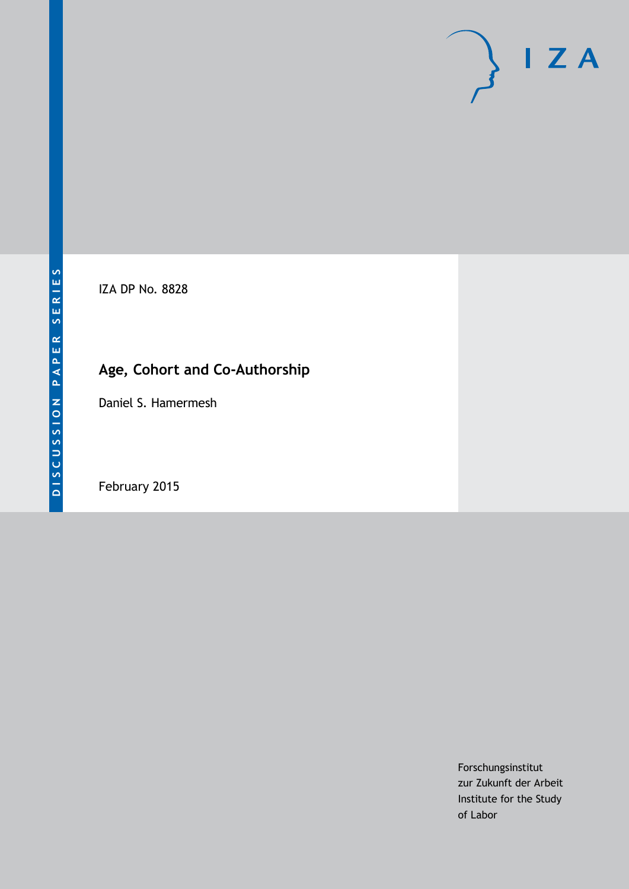# $I Z A$

IZA DP No. 8828

## **Age, Cohort and Co-Authorship**

Daniel S. Hamermesh

February 2015

Forschungsinstitut zur Zukunft der Arbeit Institute for the Study of Labor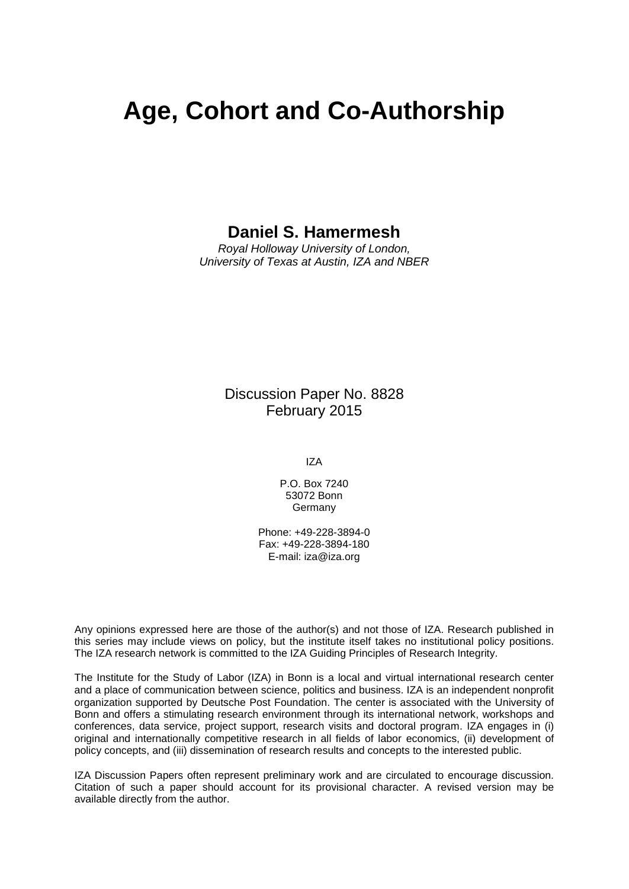## **Age, Cohort and Co-Authorship**

### **Daniel S. Hamermesh**

*Royal Holloway University of London, University of Texas at Austin, IZA and NBER*

> Discussion Paper No. 8828 February 2015

> > IZA

P.O. Box 7240 53072 Bonn **Germany** 

Phone: +49-228-3894-0 Fax: +49-228-3894-180 E-mail: [iza@iza.org](mailto:iza@iza.org)

Any opinions expressed here are those of the author(s) and not those of IZA. Research published in this series may include views on policy, but the institute itself takes no institutional policy positions. The IZA research network is committed to the IZA Guiding Principles of Research Integrity.

The Institute for the Study of Labor (IZA) in Bonn is a local and virtual international research center and a place of communication between science, politics and business. IZA is an independent nonprofit organization supported by Deutsche Post Foundation. The center is associated with the University of Bonn and offers a stimulating research environment through its international network, workshops and conferences, data service, project support, research visits and doctoral program. IZA engages in (i) original and internationally competitive research in all fields of labor economics, (ii) development of policy concepts, and (iii) dissemination of research results and concepts to the interested public.

<span id="page-1-0"></span>IZA Discussion Papers often represent preliminary work and are circulated to encourage discussion. Citation of such a paper should account for its provisional character. A revised version may be available directly from the author.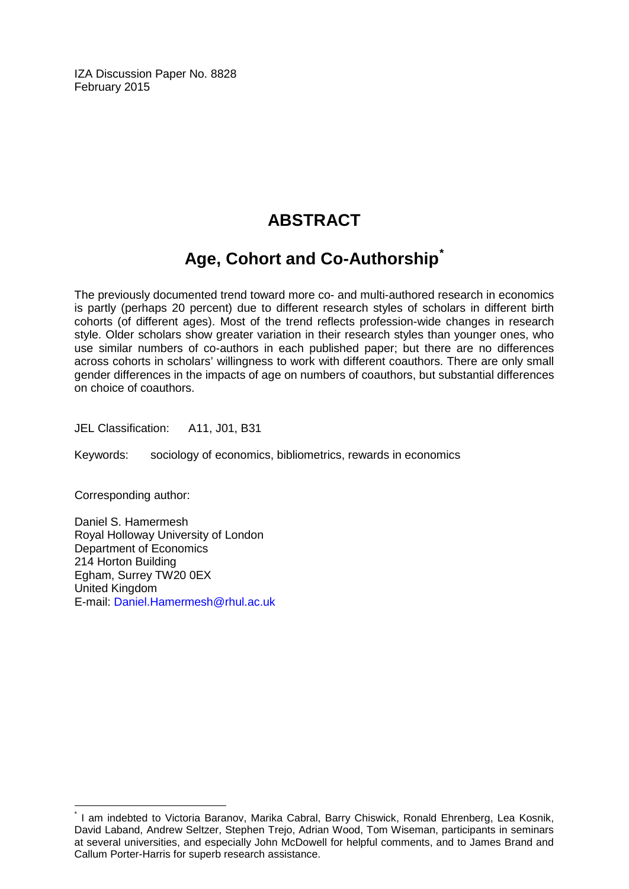IZA Discussion Paper No. 8828 February 2015

## **ABSTRACT**

## **Age, Cohort and Co-Authorship[\\*](#page-1-0)**

The previously documented trend toward more co- and multi-authored research in economics is partly (perhaps 20 percent) due to different research styles of scholars in different birth cohorts (of different ages). Most of the trend reflects profession-wide changes in research style. Older scholars show greater variation in their research styles than younger ones, who use similar numbers of co-authors in each published paper; but there are no differences across cohorts in scholars' willingness to work with different coauthors. There are only small gender differences in the impacts of age on numbers of coauthors, but substantial differences on choice of coauthors.

JEL Classification: A11, J01, B31

Keywords: sociology of economics, bibliometrics, rewards in economics

Corresponding author:

Daniel S. Hamermesh Royal Holloway University of London Department of Economics 214 Horton Building Egham, Surrey TW20 0EX United Kingdom E-mail: [Daniel.Hamermesh@rhul.ac.uk](mailto:Daniel.Hamermesh@rhul.ac.uk)

I am indebted to Victoria Baranov, Marika Cabral, Barry Chiswick, Ronald Ehrenberg, Lea Kosnik, David Laband, Andrew Seltzer, Stephen Trejo, Adrian Wood, Tom Wiseman, participants in seminars at several universities, and especially John McDowell for helpful comments, and to James Brand and Callum Porter-Harris for superb research assistance.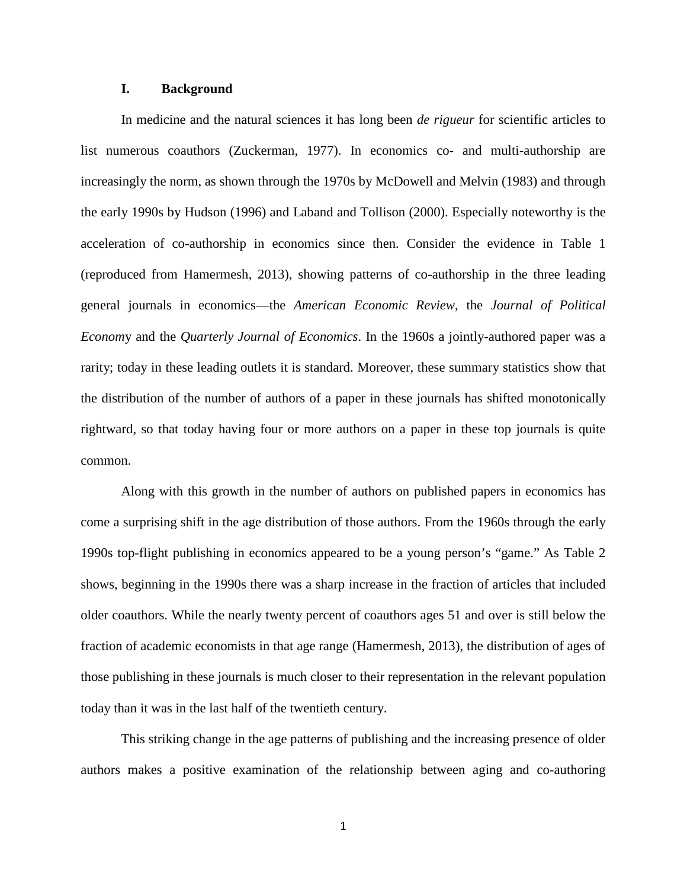#### **I. Background**

In medicine and the natural sciences it has long been *de rigueur* for scientific articles to list numerous coauthors (Zuckerman, 1977). In economics co- and multi-authorship are increasingly the norm, as shown through the 1970s by McDowell and Melvin (1983) and through the early 1990s by Hudson (1996) and Laband and Tollison (2000). Especially noteworthy is the acceleration of co-authorship in economics since then. Consider the evidence in Table 1 (reproduced from Hamermesh, 2013), showing patterns of co-authorship in the three leading general journals in economics—the *American Economic Review*, the *Journal of Political Econom*y and the *Quarterly Journal of Economics*. In the 1960s a jointly-authored paper was a rarity; today in these leading outlets it is standard. Moreover, these summary statistics show that the distribution of the number of authors of a paper in these journals has shifted monotonically rightward, so that today having four or more authors on a paper in these top journals is quite common.

Along with this growth in the number of authors on published papers in economics has come a surprising shift in the age distribution of those authors. From the 1960s through the early 1990s top-flight publishing in economics appeared to be a young person's "game." As Table 2 shows, beginning in the 1990s there was a sharp increase in the fraction of articles that included older coauthors. While the nearly twenty percent of coauthors ages 51 and over is still below the fraction of academic economists in that age range (Hamermesh, 2013), the distribution of ages of those publishing in these journals is much closer to their representation in the relevant population today than it was in the last half of the twentieth century.

This striking change in the age patterns of publishing and the increasing presence of older authors makes a positive examination of the relationship between aging and co-authoring

1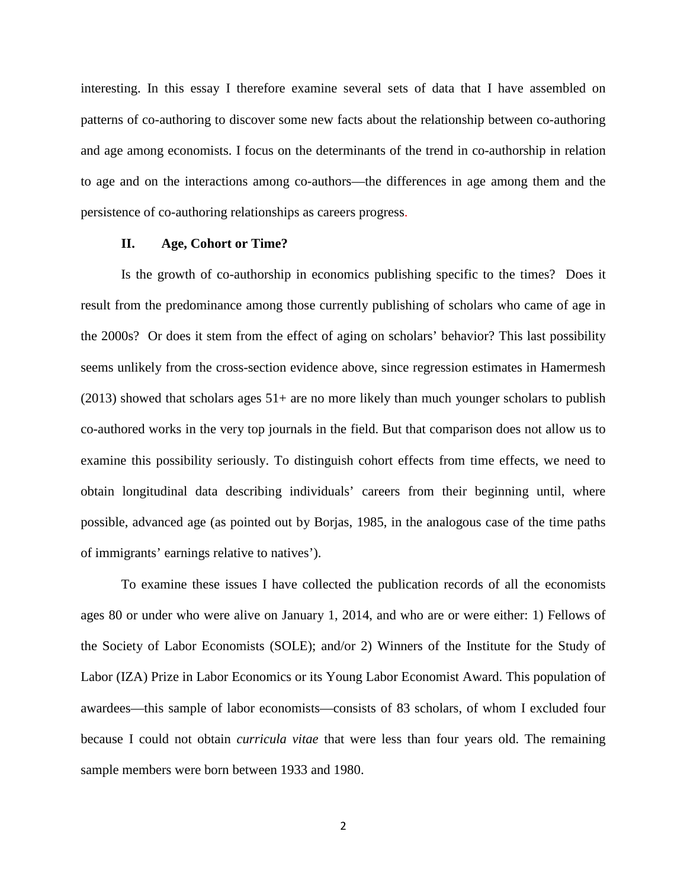interesting. In this essay I therefore examine several sets of data that I have assembled on patterns of co-authoring to discover some new facts about the relationship between co-authoring and age among economists. I focus on the determinants of the trend in co-authorship in relation to age and on the interactions among co-authors—the differences in age among them and the persistence of co-authoring relationships as careers progress.

#### **II. Age, Cohort or Time?**

Is the growth of co-authorship in economics publishing specific to the times? Does it result from the predominance among those currently publishing of scholars who came of age in the 2000s? Or does it stem from the effect of aging on scholars' behavior? This last possibility seems unlikely from the cross-section evidence above, since regression estimates in Hamermesh (2013) showed that scholars ages 51+ are no more likely than much younger scholars to publish co-authored works in the very top journals in the field. But that comparison does not allow us to examine this possibility seriously. To distinguish cohort effects from time effects, we need to obtain longitudinal data describing individuals' careers from their beginning until, where possible, advanced age (as pointed out by Borjas, 1985, in the analogous case of the time paths of immigrants' earnings relative to natives').

To examine these issues I have collected the publication records of all the economists ages 80 or under who were alive on January 1, 2014, and who are or were either: 1) Fellows of the Society of Labor Economists (SOLE); and/or 2) Winners of the Institute for the Study of Labor (IZA) Prize in Labor Economics or its Young Labor Economist Award. This population of awardees—this sample of labor economists—consists of 83 scholars, of whom I excluded four because I could not obtain *curricula vitae* that were less than four years old. The remaining sample members were born between 1933 and 1980.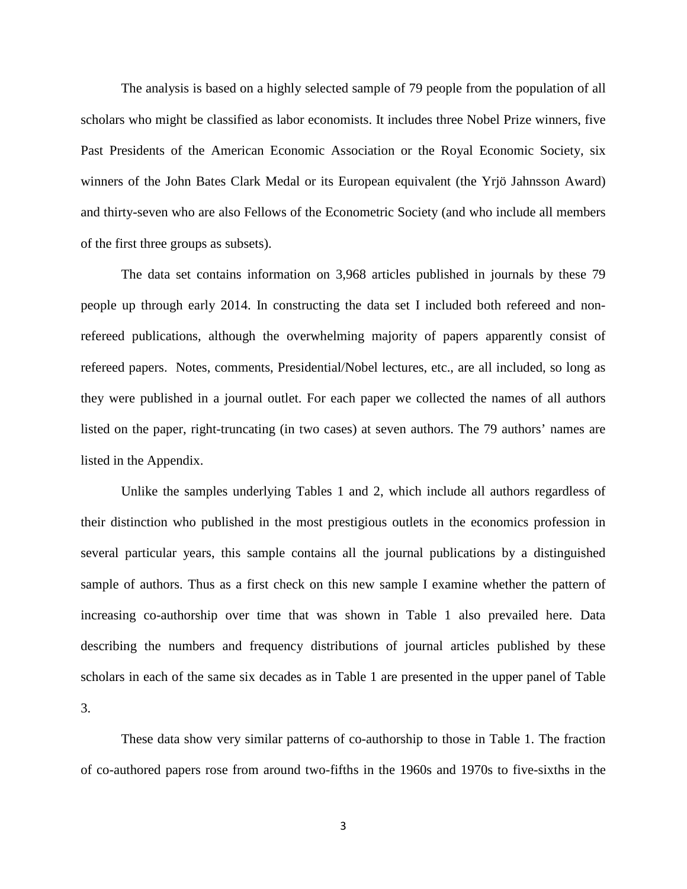The analysis is based on a highly selected sample of 79 people from the population of all scholars who might be classified as labor economists. It includes three Nobel Prize winners, five Past Presidents of the American Economic Association or the Royal Economic Society, six winners of the John Bates Clark Medal or its European equivalent (the Yrjö Jahnsson Award) and thirty-seven who are also Fellows of the Econometric Society (and who include all members of the first three groups as subsets).

The data set contains information on 3,968 articles published in journals by these 79 people up through early 2014. In constructing the data set I included both refereed and nonrefereed publications, although the overwhelming majority of papers apparently consist of refereed papers. Notes, comments, Presidential/Nobel lectures, etc., are all included, so long as they were published in a journal outlet. For each paper we collected the names of all authors listed on the paper, right-truncating (in two cases) at seven authors. The 79 authors' names are listed in the Appendix.

Unlike the samples underlying Tables 1 and 2, which include all authors regardless of their distinction who published in the most prestigious outlets in the economics profession in several particular years, this sample contains all the journal publications by a distinguished sample of authors. Thus as a first check on this new sample I examine whether the pattern of increasing co-authorship over time that was shown in Table 1 also prevailed here. Data describing the numbers and frequency distributions of journal articles published by these scholars in each of the same six decades as in Table 1 are presented in the upper panel of Table 3.

These data show very similar patterns of co-authorship to those in Table 1. The fraction of co-authored papers rose from around two-fifths in the 1960s and 1970s to five-sixths in the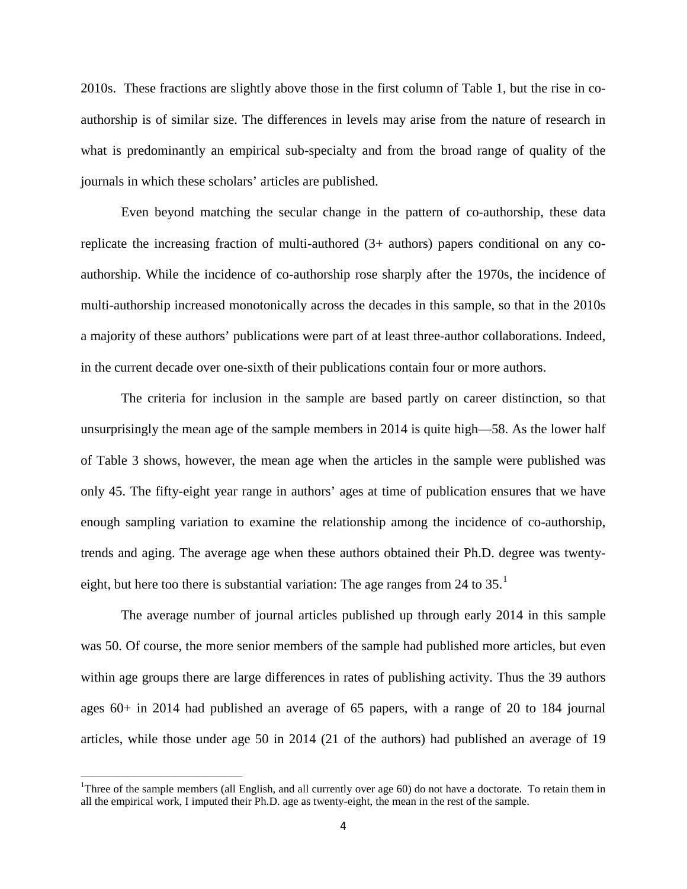2010s. These fractions are slightly above those in the first column of Table 1, but the rise in coauthorship is of similar size. The differences in levels may arise from the nature of research in what is predominantly an empirical sub-specialty and from the broad range of quality of the journals in which these scholars' articles are published.

Even beyond matching the secular change in the pattern of co-authorship, these data replicate the increasing fraction of multi-authored (3+ authors) papers conditional on any coauthorship. While the incidence of co-authorship rose sharply after the 1970s, the incidence of multi-authorship increased monotonically across the decades in this sample, so that in the 2010s a majority of these authors' publications were part of at least three-author collaborations. Indeed, in the current decade over one-sixth of their publications contain four or more authors.

The criteria for inclusion in the sample are based partly on career distinction, so that unsurprisingly the mean age of the sample members in 2014 is quite high—58. As the lower half of Table 3 shows, however, the mean age when the articles in the sample were published was only 45. The fifty-eight year range in authors' ages at time of publication ensures that we have enough sampling variation to examine the relationship among the incidence of co-authorship, trends and aging. The average age when these authors obtained their Ph.D. degree was twentyeight, but here too there is substantial variation: The age ranges from 24 to  $35.^1$  $35.^1$ 

The average number of journal articles published up through early 2014 in this sample was 50. Of course, the more senior members of the sample had published more articles, but even within age groups there are large differences in rates of publishing activity. Thus the 39 authors ages 60+ in 2014 had published an average of 65 papers, with a range of 20 to 184 journal articles, while those under age 50 in 2014 (21 of the authors) had published an average of 19

<span id="page-6-0"></span> $\frac{1}{1}$ <sup>1</sup>Three of the sample members (all English, and all currently over age 60) do not have a doctorate. To retain them in all the empirical work, I imputed their Ph.D. age as twenty-eight, the mean in the rest of the sample.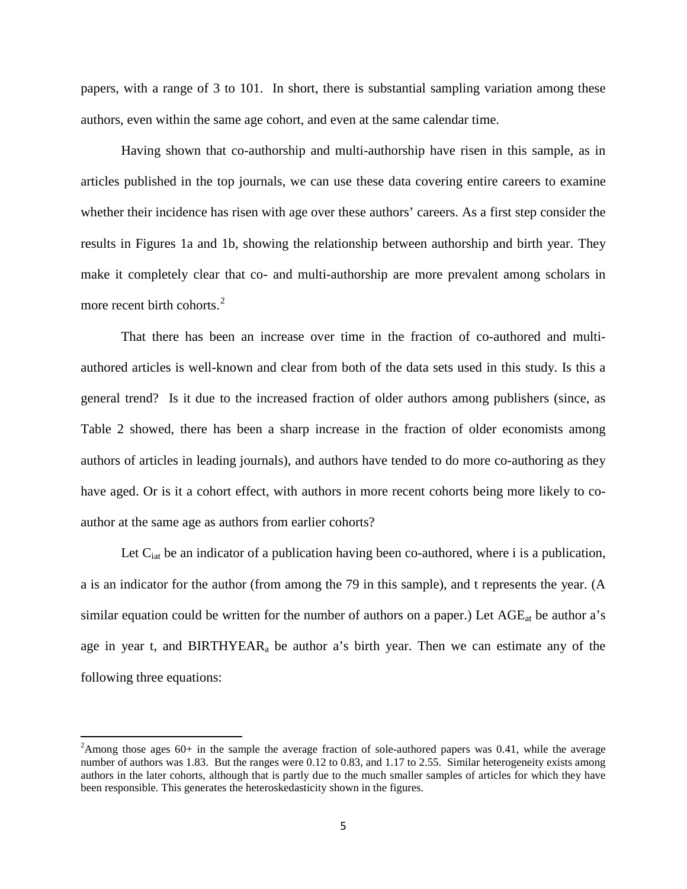papers, with a range of 3 to 101. In short, there is substantial sampling variation among these authors, even within the same age cohort, and even at the same calendar time.

Having shown that co-authorship and multi-authorship have risen in this sample, as in articles published in the top journals, we can use these data covering entire careers to examine whether their incidence has risen with age over these authors' careers. As a first step consider the results in Figures 1a and 1b, showing the relationship between authorship and birth year. They make it completely clear that co- and multi-authorship are more prevalent among scholars in more recent birth cohorts. $2^2$  $2^2$ 

That there has been an increase over time in the fraction of co-authored and multiauthored articles is well-known and clear from both of the data sets used in this study. Is this a general trend? Is it due to the increased fraction of older authors among publishers (since, as Table 2 showed, there has been a sharp increase in the fraction of older economists among authors of articles in leading journals), and authors have tended to do more co-authoring as they have aged. Or is it a cohort effect, with authors in more recent cohorts being more likely to coauthor at the same age as authors from earlier cohorts?

Let  $C_{\text{iat}}$  be an indicator of a publication having been co-authored, where i is a publication, a is an indicator for the author (from among the 79 in this sample), and t represents the year. (A similar equation could be written for the number of authors on a paper.) Let  $\text{AGE}_{at}$  be author a's age in year t, and  $BIRTHYEAR_a$  be author a's birth year. Then we can estimate any of the following three equations:

<span id="page-7-0"></span> $\frac{1}{2}$ <sup>2</sup>Among those ages  $60+$  in the sample the average fraction of sole-authored papers was 0.41, while the average number of authors was 1.83. But the ranges were 0.12 to 0.83, and 1.17 to 2.55. Similar heterogeneity exists among authors in the later cohorts, although that is partly due to the much smaller samples of articles for which they have been responsible. This generates the heteroskedasticity shown in the figures.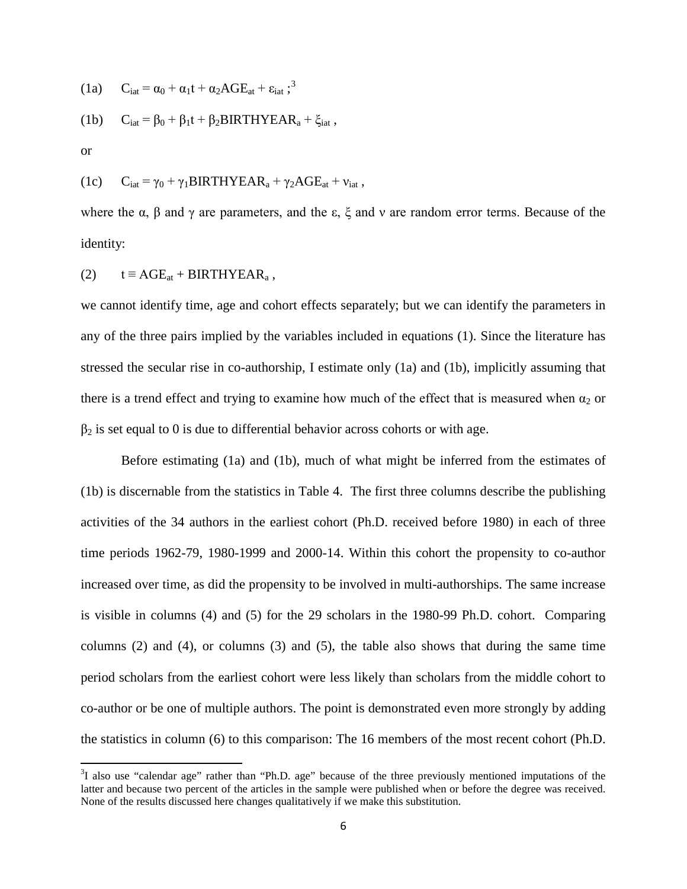(1a) 
$$
C_{iat} = \alpha_0 + \alpha_1 t + \alpha_2 AGE_{at} + \varepsilon_{iat};^3
$$

(1b) 
$$
C_{\text{iat}} = \beta_0 + \beta_1 t + \beta_2 B \text{IRTHYEAR}_a + \xi_{\text{iat}} ,
$$

or

(1c) 
$$
C_{iat} = \gamma_0 + \gamma_1 B I R T H Y E A R_a + \gamma_2 A G E_{at} + v_{iat} ,
$$

where the  $\alpha$ ,  $\beta$  and  $\gamma$  are parameters, and the  $\varepsilon$ ,  $\xi$  and  $\nu$  are random error terms. Because of the identity:

(2) 
$$
t \equiv AGE_{at} + BIRTHYEAR_a
$$
,

we cannot identify time, age and cohort effects separately; but we can identify the parameters in any of the three pairs implied by the variables included in equations (1). Since the literature has stressed the secular rise in co-authorship, I estimate only (1a) and (1b), implicitly assuming that there is a trend effect and trying to examine how much of the effect that is measured when  $\alpha_2$  or  $\beta_2$  is set equal to 0 is due to differential behavior across cohorts or with age.

Before estimating (1a) and (1b), much of what might be inferred from the estimates of (1b) is discernable from the statistics in Table 4. The first three columns describe the publishing activities of the 34 authors in the earliest cohort (Ph.D. received before 1980) in each of three time periods 1962-79, 1980-1999 and 2000-14. Within this cohort the propensity to co-author increased over time, as did the propensity to be involved in multi-authorships. The same increase is visible in columns (4) and (5) for the 29 scholars in the 1980-99 Ph.D. cohort. Comparing columns (2) and (4), or columns (3) and (5), the table also shows that during the same time period scholars from the earliest cohort were less likely than scholars from the middle cohort to co-author or be one of multiple authors. The point is demonstrated even more strongly by adding the statistics in column (6) to this comparison: The 16 members of the most recent cohort (Ph.D.

<span id="page-8-0"></span><sup>&</sup>lt;sup>2</sup><br>3  ${}^{3}I$  also use "calendar age" rather than "Ph.D. age" because of the three previously mentioned imputations of the latter and because two percent of the articles in the sample were published when or before the degree was received. None of the results discussed here changes qualitatively if we make this substitution.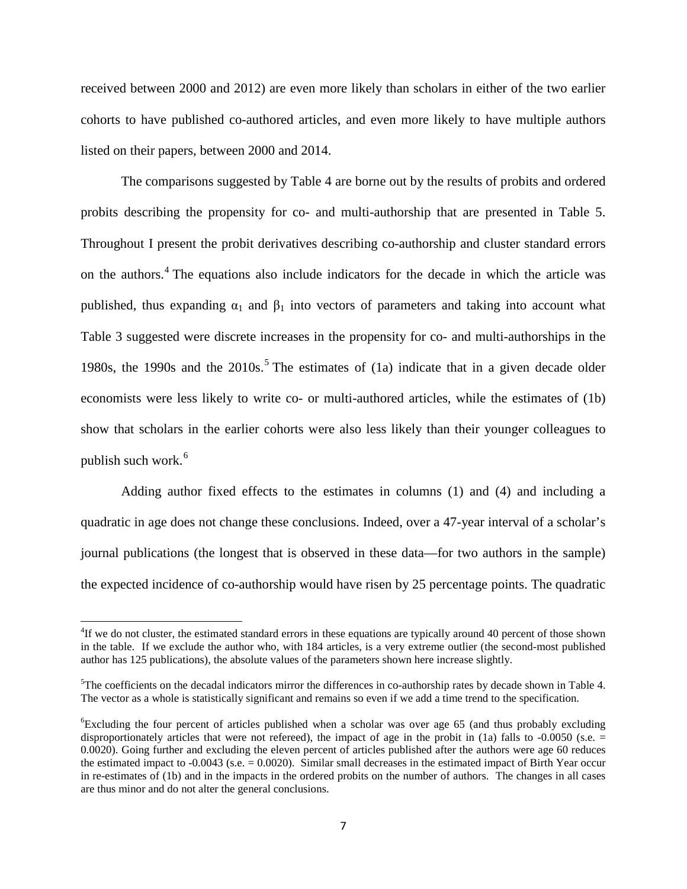received between 2000 and 2012) are even more likely than scholars in either of the two earlier cohorts to have published co-authored articles, and even more likely to have multiple authors listed on their papers, between 2000 and 2014.

The comparisons suggested by Table 4 are borne out by the results of probits and ordered probits describing the propensity for co- and multi-authorship that are presented in Table 5. Throughout I present the probit derivatives describing co-authorship and cluster standard errors on the authors. [4](#page-8-0) The equations also include indicators for the decade in which the article was published, thus expanding  $\alpha_1$  and  $\beta_1$  into vectors of parameters and taking into account what Table 3 suggested were discrete increases in the propensity for co- and multi-authorships in the 1980s, the 1990s and the  $2010s$ .<sup>[5](#page-9-0)</sup> The estimates of (1a) indicate that in a given decade older economists were less likely to write co- or multi-authored articles, while the estimates of (1b) show that scholars in the earlier cohorts were also less likely than their younger colleagues to publish such work. [6](#page-9-1)

Adding author fixed effects to the estimates in columns (1) and (4) and including a quadratic in age does not change these conclusions. Indeed, over a 47-year interval of a scholar's journal publications (the longest that is observed in these data—for two authors in the sample) the expected incidence of co-authorship would have risen by 25 percentage points. The quadratic

4 <sup>4</sup>If we do not cluster, the estimated standard errors in these equations are typically around 40 percent of those shown in the table. If we exclude the author who, with 184 articles, is a very extreme outlier (the second-most published author has 125 publications), the absolute values of the parameters shown here increase slightly.

<span id="page-9-0"></span> $5$ The coefficients on the decadal indicators mirror the differences in co-authorship rates by decade shown in Table 4. The vector as a whole is statistically significant and remains so even if we add a time trend to the specification.

<span id="page-9-2"></span><span id="page-9-1"></span><sup>6</sup> Excluding the four percent of articles published when a scholar was over age 65 (and thus probably excluding disproportionately articles that were not refereed), the impact of age in the probit in (1a) falls to  $-0.0050$  (s.e.  $=$ 0.0020). Going further and excluding the eleven percent of articles published after the authors were age 60 reduces the estimated impact to -0.0043 (s.e. = 0.0020). Similar small decreases in the estimated impact of Birth Year occur in re-estimates of (1b) and in the impacts in the ordered probits on the number of authors. The changes in all cases are thus minor and do not alter the general conclusions.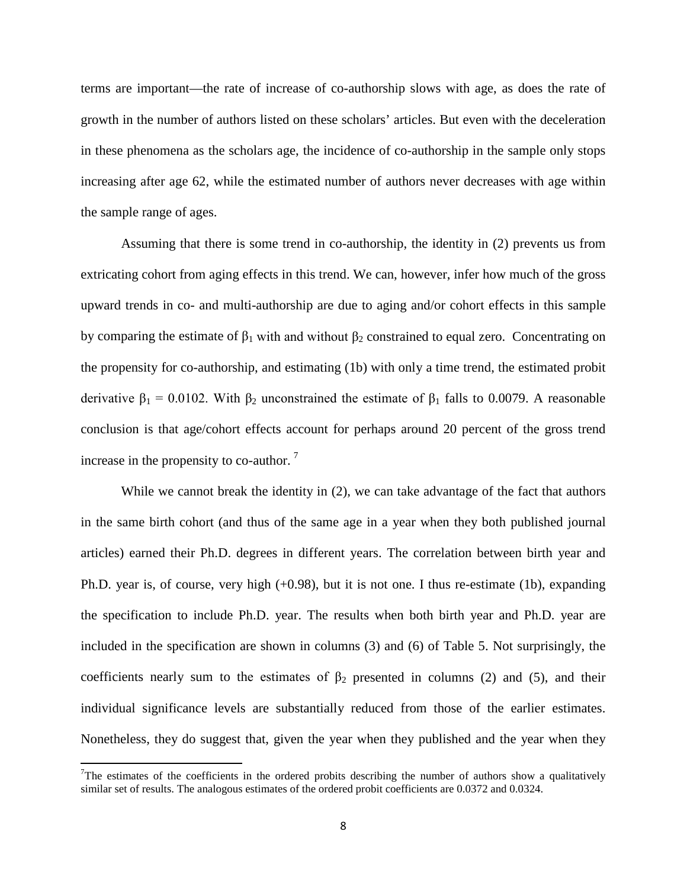terms are important—the rate of increase of co-authorship slows with age, as does the rate of growth in the number of authors listed on these scholars' articles. But even with the deceleration in these phenomena as the scholars age, the incidence of co-authorship in the sample only stops increasing after age 62, while the estimated number of authors never decreases with age within the sample range of ages.

Assuming that there is some trend in co-authorship, the identity in (2) prevents us from extricating cohort from aging effects in this trend. We can, however, infer how much of the gross upward trends in co- and multi-authorship are due to aging and/or cohort effects in this sample by comparing the estimate of  $\beta_1$  with and without  $\beta_2$  constrained to equal zero. Concentrating on the propensity for co-authorship, and estimating (1b) with only a time trend, the estimated probit derivative  $β_1 = 0.0102$ . With  $β_2$  unconstrained the estimate of  $β_1$  falls to 0.0079. A reasonable conclusion is that age/cohort effects account for perhaps around 20 percent of the gross trend increase in the propensity to co-author. [7](#page-9-2)

While we cannot break the identity in (2), we can take advantage of the fact that authors in the same birth cohort (and thus of the same age in a year when they both published journal articles) earned their Ph.D. degrees in different years. The correlation between birth year and Ph.D. year is, of course, very high (+0.98), but it is not one. I thus re-estimate (1b), expanding the specification to include Ph.D. year. The results when both birth year and Ph.D. year are included in the specification are shown in columns (3) and (6) of Table 5. Not surprisingly, the coefficients nearly sum to the estimates of  $\beta_2$  presented in columns (2) and (5), and their individual significance levels are substantially reduced from those of the earlier estimates. Nonetheless, they do suggest that, given the year when they published and the year when they

<span id="page-10-0"></span>7 The estimates of the coefficients in the ordered probits describing the number of authors show a qualitatively similar set of results. The analogous estimates of the ordered probit coefficients are 0.0372 and 0.0324.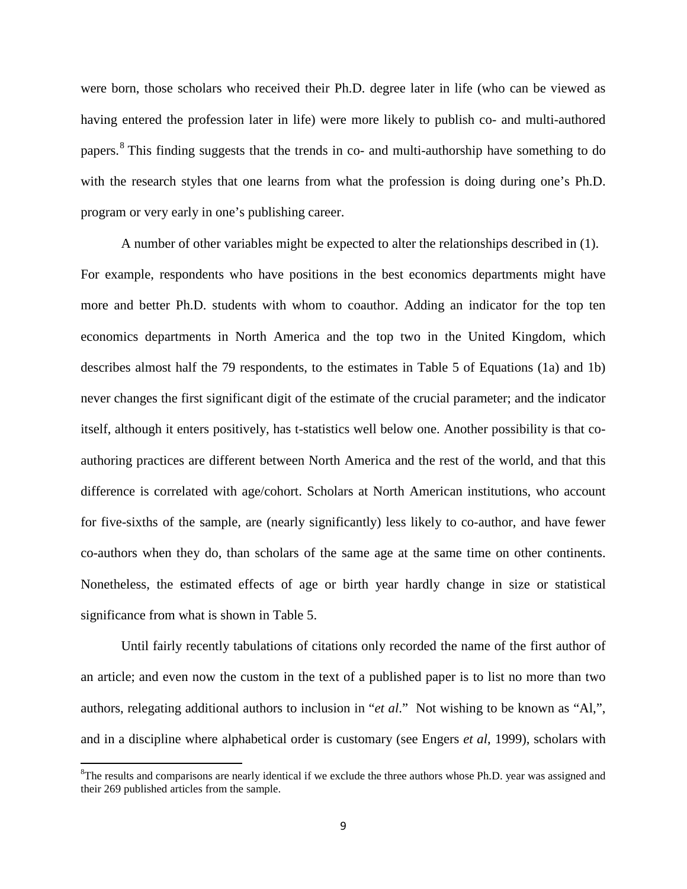were born, those scholars who received their Ph.D. degree later in life (who can be viewed as having entered the profession later in life) were more likely to publish co- and multi-authored papers.<sup>[8](#page-10-0)</sup> This finding suggests that the trends in co- and multi-authorship have something to do with the research styles that one learns from what the profession is doing during one's Ph.D. program or very early in one's publishing career.

A number of other variables might be expected to alter the relationships described in (1). For example, respondents who have positions in the best economics departments might have more and better Ph.D. students with whom to coauthor. Adding an indicator for the top ten economics departments in North America and the top two in the United Kingdom, which describes almost half the 79 respondents, to the estimates in Table 5 of Equations (1a) and 1b) never changes the first significant digit of the estimate of the crucial parameter; and the indicator itself, although it enters positively, has t-statistics well below one. Another possibility is that coauthoring practices are different between North America and the rest of the world, and that this difference is correlated with age/cohort. Scholars at North American institutions, who account for five-sixths of the sample, are (nearly significantly) less likely to co-author, and have fewer co-authors when they do, than scholars of the same age at the same time on other continents. Nonetheless, the estimated effects of age or birth year hardly change in size or statistical significance from what is shown in Table 5.

<span id="page-11-0"></span>Until fairly recently tabulations of citations only recorded the name of the first author of an article; and even now the custom in the text of a published paper is to list no more than two authors, relegating additional authors to inclusion in "*et al*." Not wishing to be known as "Al,", and in a discipline where alphabetical order is customary (see Engers *et al*, 1999), scholars with

8  ${}^8$ The results and comparisons are nearly identical if we exclude the three authors whose Ph.D. year was assigned and their 269 published articles from the sample.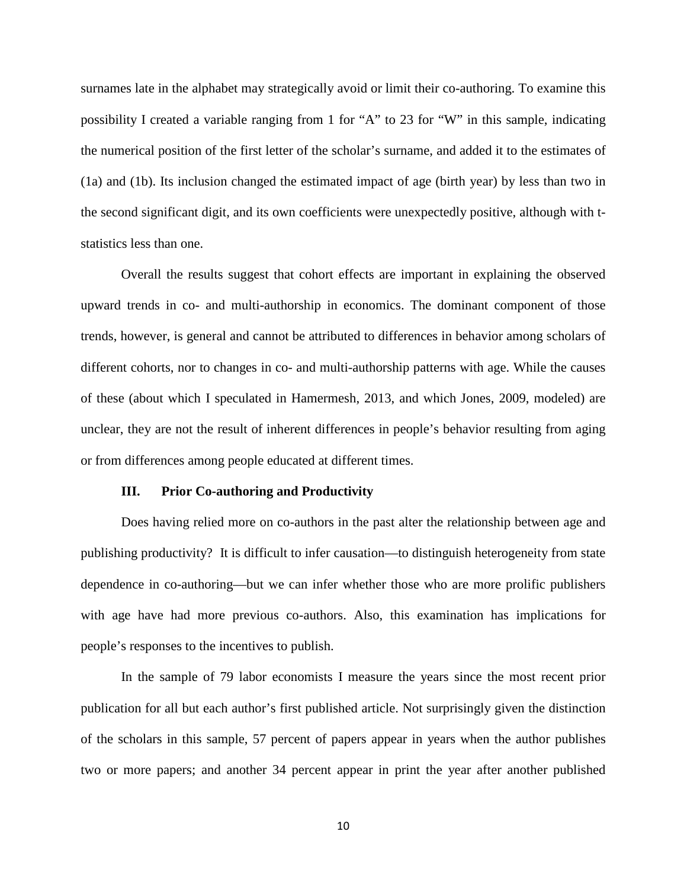surnames late in the alphabet may strategically avoid or limit their co-authoring. To examine this possibility I created a variable ranging from 1 for "A" to 23 for "W" in this sample, indicating the numerical position of the first letter of the scholar's surname, and added it to the estimates of (1a) and (1b). Its inclusion changed the estimated impact of age (birth year) by less than two in the second significant digit, and its own coefficients were unexpectedly positive, although with tstatistics less than one.

Overall the results suggest that cohort effects are important in explaining the observed upward trends in co- and multi-authorship in economics. The dominant component of those trends, however, is general and cannot be attributed to differences in behavior among scholars of different cohorts, nor to changes in co- and multi-authorship patterns with age. While the causes of these (about which I speculated in Hamermesh, 2013, and which Jones, 2009, modeled) are unclear, they are not the result of inherent differences in people's behavior resulting from aging or from differences among people educated at different times.

#### **III. Prior Co-authoring and Productivity**

Does having relied more on co-authors in the past alter the relationship between age and publishing productivity? It is difficult to infer causation—to distinguish heterogeneity from state dependence in co-authoring—but we can infer whether those who are more prolific publishers with age have had more previous co-authors. Also, this examination has implications for people's responses to the incentives to publish.

In the sample of 79 labor economists I measure the years since the most recent prior publication for all but each author's first published article. Not surprisingly given the distinction of the scholars in this sample, 57 percent of papers appear in years when the author publishes two or more papers; and another 34 percent appear in print the year after another published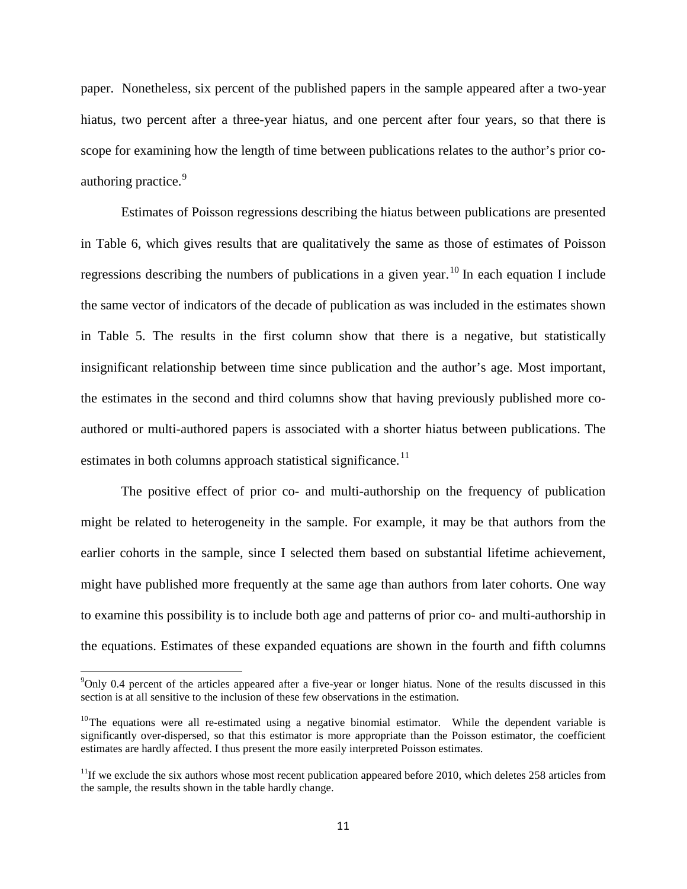paper. Nonetheless, six percent of the published papers in the sample appeared after a two-year hiatus, two percent after a three-year hiatus, and one percent after four years, so that there is scope for examining how the length of time between publications relates to the author's prior co-authoring practice.<sup>[9](#page-11-0)</sup>

Estimates of Poisson regressions describing the hiatus between publications are presented in Table 6, which gives results that are qualitatively the same as those of estimates of Poisson regressions describing the numbers of publications in a given year.<sup>[10](#page-13-0)</sup> In each equation I include the same vector of indicators of the decade of publication as was included in the estimates shown in Table 5. The results in the first column show that there is a negative, but statistically insignificant relationship between time since publication and the author's age. Most important, the estimates in the second and third columns show that having previously published more coauthored or multi-authored papers is associated with a shorter hiatus between publications. The estimates in both columns approach statistical significance.<sup>[11](#page-13-1)</sup>

The positive effect of prior co- and multi-authorship on the frequency of publication might be related to heterogeneity in the sample. For example, it may be that authors from the earlier cohorts in the sample, since I selected them based on substantial lifetime achievement, might have published more frequently at the same age than authors from later cohorts. One way to examine this possibility is to include both age and patterns of prior co- and multi-authorship in the equations. Estimates of these expanded equations are shown in the fourth and fifth columns

<sup>-&</sup>lt;br>9  $\degree$ Only 0.4 percent of the articles appeared after a five-year or longer hiatus. None of the results discussed in this section is at all sensitive to the inclusion of these few observations in the estimation.

<span id="page-13-0"></span> $10$ The equations were all re-estimated using a negative binomial estimator. While the dependent variable is significantly over-dispersed, so that this estimator is more appropriate than the Poisson estimator, the coefficient estimates are hardly affected. I thus present the more easily interpreted Poisson estimates.

<span id="page-13-1"></span> $11$ If we exclude the six authors whose most recent publication appeared before 2010, which deletes 258 articles from the sample, the results shown in the table hardly change.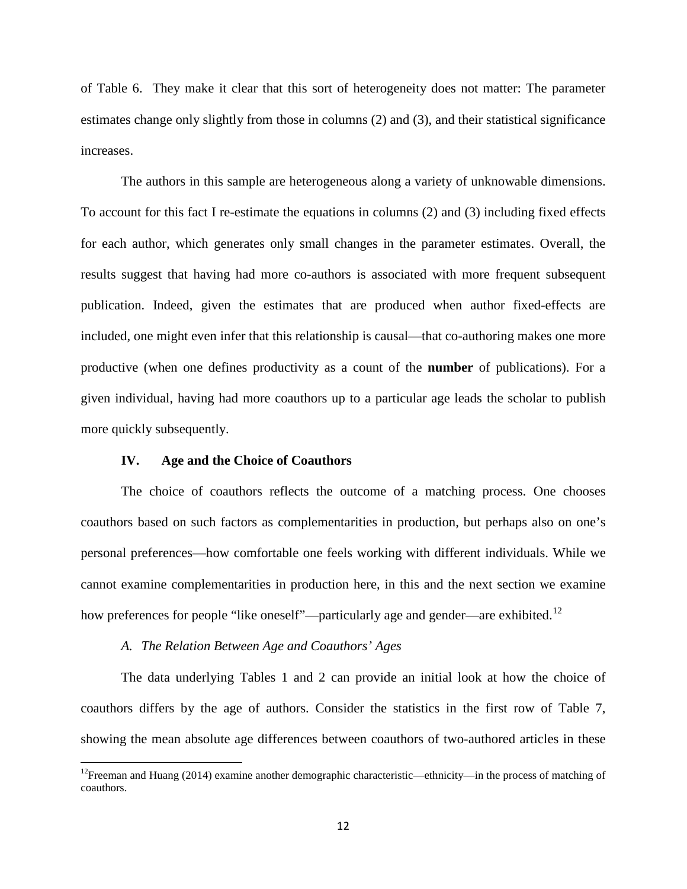of Table 6. They make it clear that this sort of heterogeneity does not matter: The parameter estimates change only slightly from those in columns (2) and (3), and their statistical significance increases.

The authors in this sample are heterogeneous along a variety of unknowable dimensions. To account for this fact I re-estimate the equations in columns (2) and (3) including fixed effects for each author, which generates only small changes in the parameter estimates. Overall, the results suggest that having had more co-authors is associated with more frequent subsequent publication. Indeed, given the estimates that are produced when author fixed-effects are included, one might even infer that this relationship is causal—that co-authoring makes one more productive (when one defines productivity as a count of the **number** of publications). For a given individual, having had more coauthors up to a particular age leads the scholar to publish more quickly subsequently.

#### **IV. Age and the Choice of Coauthors**

The choice of coauthors reflects the outcome of a matching process. One chooses coauthors based on such factors as complementarities in production, but perhaps also on one's personal preferences—how comfortable one feels working with different individuals. While we cannot examine complementarities in production here, in this and the next section we examine how preferences for people "like oneself"—particularly age and gender—are exhibited.<sup>[12](#page-13-1)</sup>

#### *A. The Relation Between Age and Coauthors' Ages*

The data underlying Tables 1 and 2 can provide an initial look at how the choice of coauthors differs by the age of authors. Consider the statistics in the first row of Table 7, showing the mean absolute age differences between coauthors of two-authored articles in these

<span id="page-14-0"></span><sup>&</sup>lt;sup>12</sup>Freeman and Huang (2014) examine another demographic characteristic—ethnicity—in the process of matching of coauthors.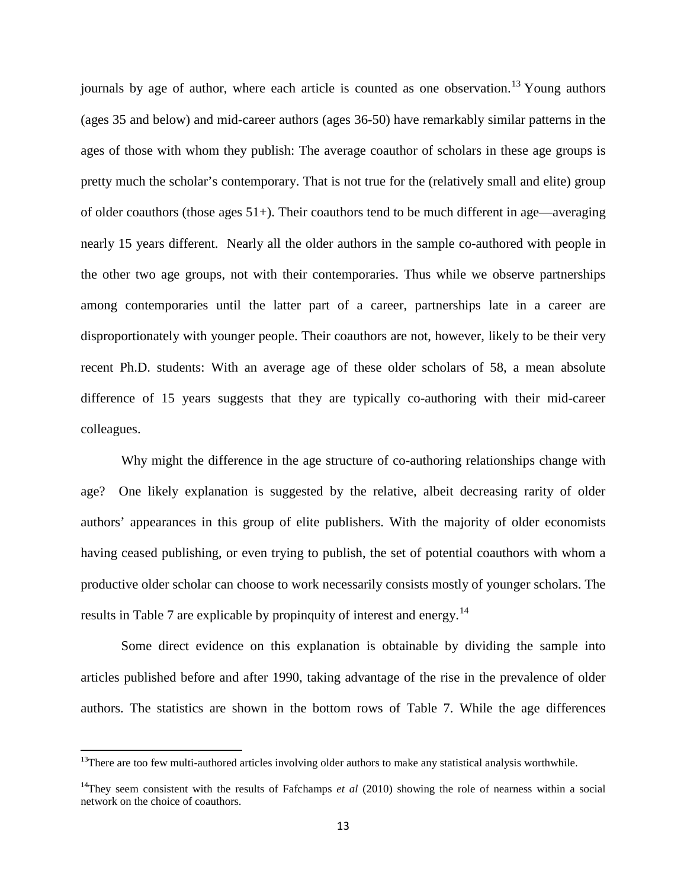journals by age of author, where each article is counted as one observation.<sup>[13](#page-14-0)</sup> Young authors (ages 35 and below) and mid-career authors (ages 36-50) have remarkably similar patterns in the ages of those with whom they publish: The average coauthor of scholars in these age groups is pretty much the scholar's contemporary. That is not true for the (relatively small and elite) group of older coauthors (those ages  $51+$ ). Their coauthors tend to be much different in age—averaging nearly 15 years different. Nearly all the older authors in the sample co-authored with people in the other two age groups, not with their contemporaries. Thus while we observe partnerships among contemporaries until the latter part of a career, partnerships late in a career are disproportionately with younger people. Their coauthors are not, however, likely to be their very recent Ph.D. students: With an average age of these older scholars of 58, a mean absolute difference of 15 years suggests that they are typically co-authoring with their mid-career colleagues.

Why might the difference in the age structure of co-authoring relationships change with age? One likely explanation is suggested by the relative, albeit decreasing rarity of older authors' appearances in this group of elite publishers. With the majority of older economists having ceased publishing, or even trying to publish, the set of potential coauthors with whom a productive older scholar can choose to work necessarily consists mostly of younger scholars. The results in Table 7 are explicable by propinquity of interest and energy.<sup>[14](#page-15-0)</sup>

Some direct evidence on this explanation is obtainable by dividing the sample into articles published before and after 1990, taking advantage of the rise in the prevalence of older authors. The statistics are shown in the bottom rows of Table 7. While the age differences

<span id="page-15-1"></span> $13$ There are too few multi-authored articles involving older authors to make any statistical analysis worthwhile.

<span id="page-15-0"></span><sup>&</sup>lt;sup>14</sup>They seem consistent with the results of Fafchamps *et al* (2010) showing the role of nearness within a social network on the choice of coauthors.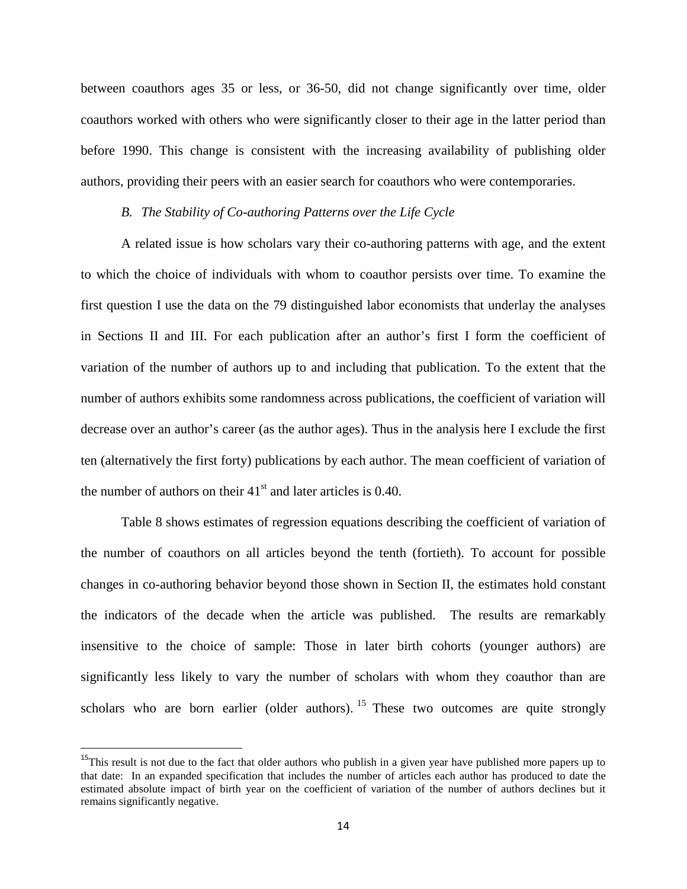between coauthors ages 35 or less, or 36-50, did not change significantly over time, older coauthors worked with others who were significantly closer to their age in the latter period than before 1990. This change is consistent with the increasing availability of publishing older authors, providing their peers with an easier search for coauthors who were contemporaries.

#### *B. The Stability of Co-authoring Patterns over the Life Cycle*

A related issue is how scholars vary their co-authoring patterns with age, and the extent to which the choice of individuals with whom to coauthor persists over time. To examine the first question I use the data on the 79 distinguished labor economists that underlay the analyses in Sections II and III. For each publication after an author's first I form the coefficient of variation of the number of authors up to and including that publication. To the extent that the number of authors exhibits some randomness across publications, the coefficient of variation will decrease over an author's career (as the author ages). Thus in the analysis here I exclude the first ten (alternatively the first forty) publications by each author. The mean coefficient of variation of the number of authors on their  $41<sup>st</sup>$  and later articles is 0.40.

Table 8 shows estimates of regression equations describing the coefficient of variation of the number of coauthors on all articles beyond the tenth (fortieth). To account for possible changes in co-authoring behavior beyond those shown in Section II, the estimates hold constant the indicators of the decade when the article was published. The results are remarkably insensitive to the choice of sample: Those in later birth cohorts (younger authors) are significantly less likely to vary the number of scholars with whom they coauthor than are scholars who are born earlier (older authors). <sup>[15](#page-15-1)</sup> These two outcomes are quite strongly

<span id="page-16-0"></span><sup>&</sup>lt;sup>15</sup>This result is not due to the fact that older authors who publish in a given year have published more papers up to that date: In an expanded specification that includes the number of articles each author has produced to date the estimated absolute impact of birth year on the coefficient of variation of the number of authors declines but it remains significantly negative.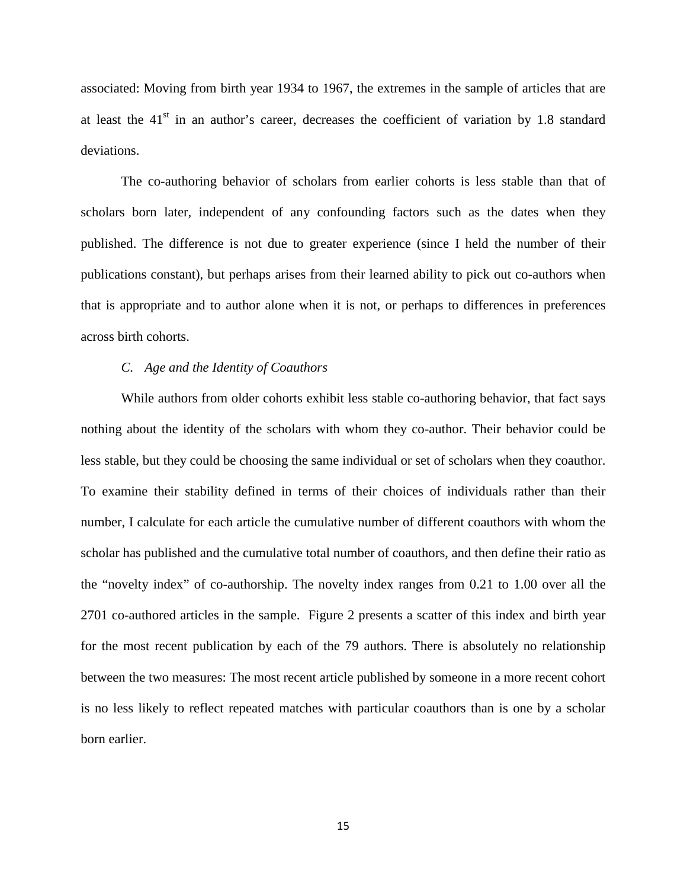associated: Moving from birth year 1934 to 1967, the extremes in the sample of articles that are at least the  $41<sup>st</sup>$  in an author's career, decreases the coefficient of variation by 1.8 standard deviations.

The co-authoring behavior of scholars from earlier cohorts is less stable than that of scholars born later, independent of any confounding factors such as the dates when they published. The difference is not due to greater experience (since I held the number of their publications constant), but perhaps arises from their learned ability to pick out co-authors when that is appropriate and to author alone when it is not, or perhaps to differences in preferences across birth cohorts.

#### *C. Age and the Identity of Coauthors*

While authors from older cohorts exhibit less stable co-authoring behavior, that fact says nothing about the identity of the scholars with whom they co-author. Their behavior could be less stable, but they could be choosing the same individual or set of scholars when they coauthor. To examine their stability defined in terms of their choices of individuals rather than their number, I calculate for each article the cumulative number of different coauthors with whom the scholar has published and the cumulative total number of coauthors, and then define their ratio as the "novelty index" of co-authorship. The novelty index ranges from 0.21 to 1.00 over all the 2701 co-authored articles in the sample. Figure 2 presents a scatter of this index and birth year for the most recent publication by each of the 79 authors. There is absolutely no relationship between the two measures: The most recent article published by someone in a more recent cohort is no less likely to reflect repeated matches with particular coauthors than is one by a scholar born earlier.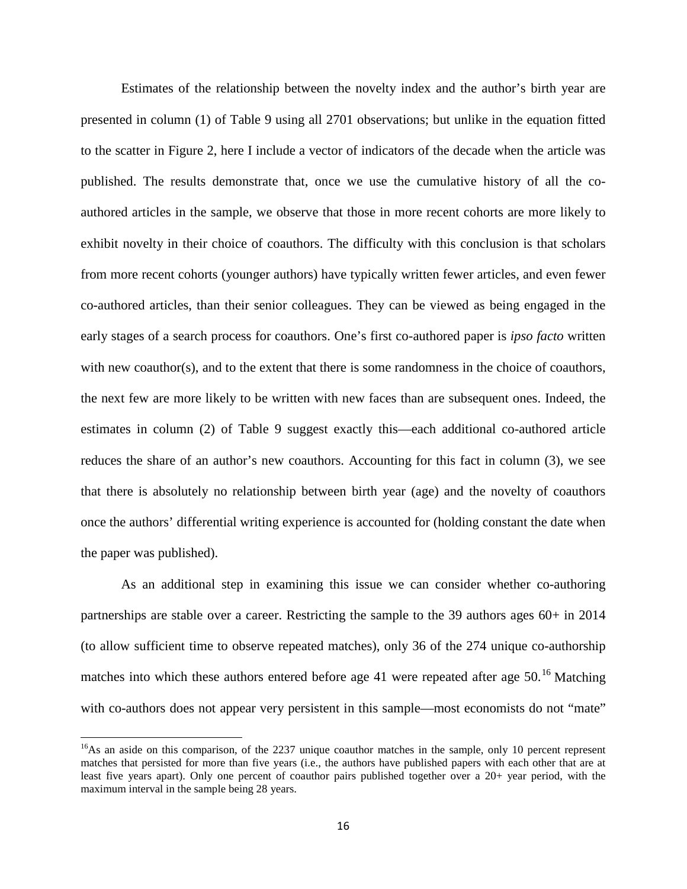Estimates of the relationship between the novelty index and the author's birth year are presented in column (1) of Table 9 using all 2701 observations; but unlike in the equation fitted to the scatter in Figure 2, here I include a vector of indicators of the decade when the article was published. The results demonstrate that, once we use the cumulative history of all the coauthored articles in the sample, we observe that those in more recent cohorts are more likely to exhibit novelty in their choice of coauthors. The difficulty with this conclusion is that scholars from more recent cohorts (younger authors) have typically written fewer articles, and even fewer co-authored articles, than their senior colleagues. They can be viewed as being engaged in the early stages of a search process for coauthors. One's first co-authored paper is *ipso facto* written with new coauthor(s), and to the extent that there is some randomness in the choice of coauthors, the next few are more likely to be written with new faces than are subsequent ones. Indeed, the estimates in column (2) of Table 9 suggest exactly this—each additional co-authored article reduces the share of an author's new coauthors. Accounting for this fact in column (3), we see that there is absolutely no relationship between birth year (age) and the novelty of coauthors once the authors' differential writing experience is accounted for (holding constant the date when the paper was published).

As an additional step in examining this issue we can consider whether co-authoring partnerships are stable over a career. Restricting the sample to the 39 authors ages 60+ in 2014 (to allow sufficient time to observe repeated matches), only 36 of the 274 unique co-authorship matches into which these authors entered before age 41 were repeated after age  $50<sup>16</sup>$  $50<sup>16</sup>$  $50<sup>16</sup>$  Matching with co-authors does not appear very persistent in this sample—most economists do not "mate"

<span id="page-18-0"></span><sup>&</sup>lt;sup>16</sup>As an aside on this comparison, of the 2237 unique coauthor matches in the sample, only 10 percent represent matches that persisted for more than five years (i.e., the authors have published papers with each other that are at least five years apart). Only one percent of coauthor pairs published together over a 20+ year period, with the maximum interval in the sample being 28 years.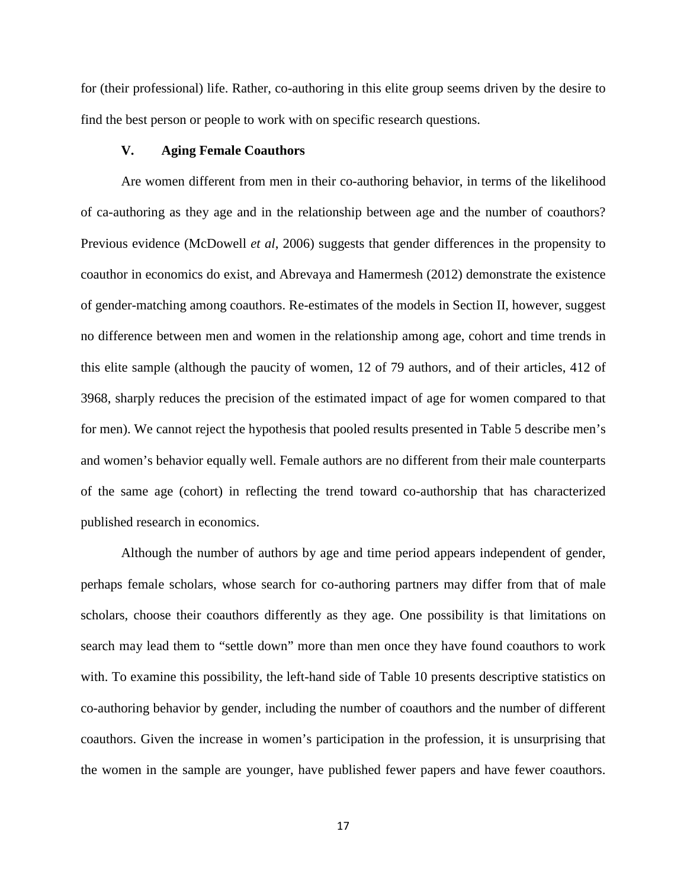for (their professional) life. Rather, co-authoring in this elite group seems driven by the desire to find the best person or people to work with on specific research questions.

#### **V. Aging Female Coauthors**

Are women different from men in their co-authoring behavior, in terms of the likelihood of ca-authoring as they age and in the relationship between age and the number of coauthors? Previous evidence (McDowell *et al*, 2006) suggests that gender differences in the propensity to coauthor in economics do exist, and Abrevaya and Hamermesh (2012) demonstrate the existence of gender-matching among coauthors. Re-estimates of the models in Section II, however, suggest no difference between men and women in the relationship among age, cohort and time trends in this elite sample (although the paucity of women, 12 of 79 authors, and of their articles, 412 of 3968, sharply reduces the precision of the estimated impact of age for women compared to that for men). We cannot reject the hypothesis that pooled results presented in Table 5 describe men's and women's behavior equally well. Female authors are no different from their male counterparts of the same age (cohort) in reflecting the trend toward co-authorship that has characterized published research in economics.

Although the number of authors by age and time period appears independent of gender, perhaps female scholars, whose search for co-authoring partners may differ from that of male scholars, choose their coauthors differently as they age. One possibility is that limitations on search may lead them to "settle down" more than men once they have found coauthors to work with. To examine this possibility, the left-hand side of Table 10 presents descriptive statistics on co-authoring behavior by gender, including the number of coauthors and the number of different coauthors. Given the increase in women's participation in the profession, it is unsurprising that the women in the sample are younger, have published fewer papers and have fewer coauthors.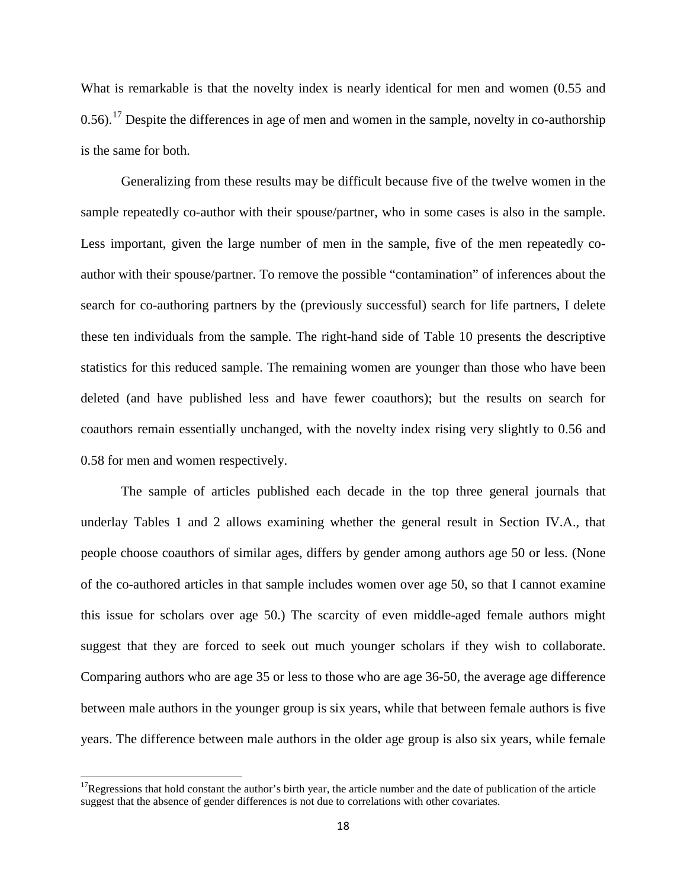What is remarkable is that the novelty index is nearly identical for men and women (0.55 and 0.56).<sup>[17](#page-18-0)</sup> Despite the differences in age of men and women in the sample, novelty in co-authorship is the same for both.

Generalizing from these results may be difficult because five of the twelve women in the sample repeatedly co-author with their spouse/partner, who in some cases is also in the sample. Less important, given the large number of men in the sample, five of the men repeatedly coauthor with their spouse/partner. To remove the possible "contamination" of inferences about the search for co-authoring partners by the (previously successful) search for life partners, I delete these ten individuals from the sample. The right-hand side of Table 10 presents the descriptive statistics for this reduced sample. The remaining women are younger than those who have been deleted (and have published less and have fewer coauthors); but the results on search for coauthors remain essentially unchanged, with the novelty index rising very slightly to 0.56 and 0.58 for men and women respectively.

The sample of articles published each decade in the top three general journals that underlay Tables 1 and 2 allows examining whether the general result in Section IV.A., that people choose coauthors of similar ages, differs by gender among authors age 50 or less. (None of the co-authored articles in that sample includes women over age 50, so that I cannot examine this issue for scholars over age 50.) The scarcity of even middle-aged female authors might suggest that they are forced to seek out much younger scholars if they wish to collaborate. Comparing authors who are age 35 or less to those who are age 36-50, the average age difference between male authors in the younger group is six years, while that between female authors is five years. The difference between male authors in the older age group is also six years, while female

<span id="page-20-0"></span><sup>&</sup>lt;sup>17</sup>Regressions that hold constant the author's birth year, the article number and the date of publication of the article suggest that the absence of gender differences is not due to correlations with other covariates.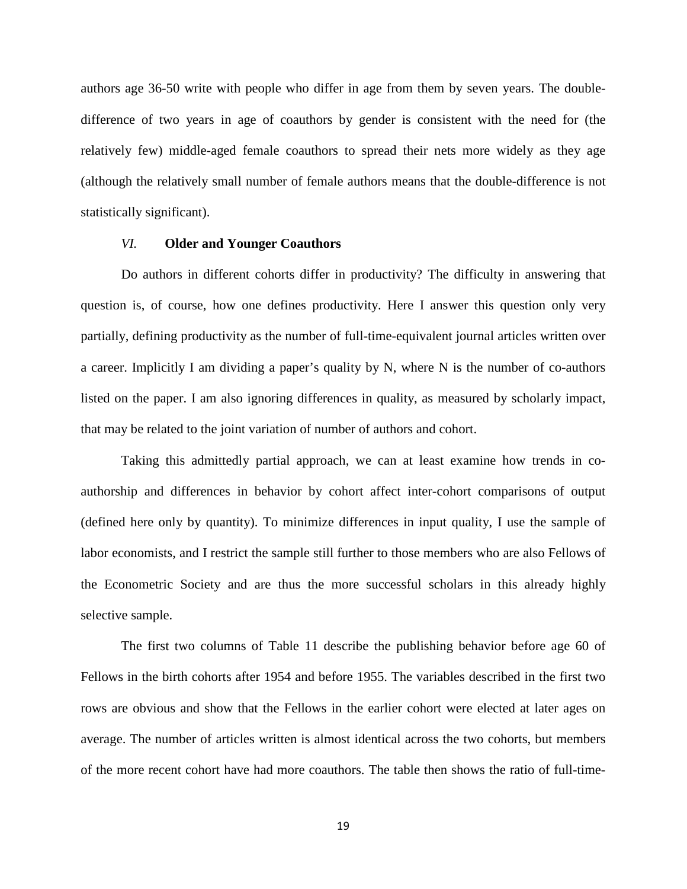authors age 36-50 write with people who differ in age from them by seven years. The doubledifference of two years in age of coauthors by gender is consistent with the need for (the relatively few) middle-aged female coauthors to spread their nets more widely as they age (although the relatively small number of female authors means that the double-difference is not statistically significant).

#### *VI.* **Older and Younger Coauthors**

Do authors in different cohorts differ in productivity? The difficulty in answering that question is, of course, how one defines productivity. Here I answer this question only very partially, defining productivity as the number of full-time-equivalent journal articles written over a career. Implicitly I am dividing a paper's quality by N, where N is the number of co-authors listed on the paper. I am also ignoring differences in quality, as measured by scholarly impact, that may be related to the joint variation of number of authors and cohort.

Taking this admittedly partial approach, we can at least examine how trends in coauthorship and differences in behavior by cohort affect inter-cohort comparisons of output (defined here only by quantity). To minimize differences in input quality, I use the sample of labor economists, and I restrict the sample still further to those members who are also Fellows of the Econometric Society and are thus the more successful scholars in this already highly selective sample.

The first two columns of Table 11 describe the publishing behavior before age 60 of Fellows in the birth cohorts after 1954 and before 1955. The variables described in the first two rows are obvious and show that the Fellows in the earlier cohort were elected at later ages on average. The number of articles written is almost identical across the two cohorts, but members of the more recent cohort have had more coauthors. The table then shows the ratio of full-time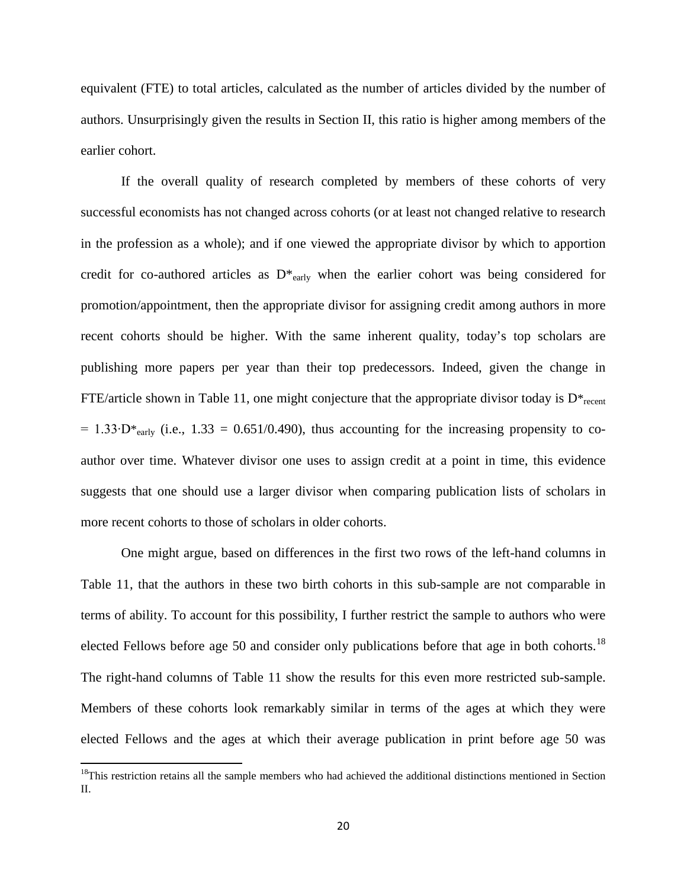equivalent (FTE) to total articles, calculated as the number of articles divided by the number of authors. Unsurprisingly given the results in Section II, this ratio is higher among members of the earlier cohort.

If the overall quality of research completed by members of these cohorts of very successful economists has not changed across cohorts (or at least not changed relative to research in the profession as a whole); and if one viewed the appropriate divisor by which to apportion credit for co-authored articles as  $D^*_{\text{early}}$  when the earlier cohort was being considered for promotion/appointment, then the appropriate divisor for assigning credit among authors in more recent cohorts should be higher. With the same inherent quality, today's top scholars are publishing more papers per year than their top predecessors. Indeed, given the change in FTE/article shown in Table 11, one might conjecture that the appropriate divisor today is  $D^*_{recent}$  $= 1.33 \cdot D*_{\text{early}}$  (i.e., 1.33 = 0.651/0.490), thus accounting for the increasing propensity to coauthor over time. Whatever divisor one uses to assign credit at a point in time, this evidence suggests that one should use a larger divisor when comparing publication lists of scholars in more recent cohorts to those of scholars in older cohorts.

One might argue, based on differences in the first two rows of the left-hand columns in Table 11, that the authors in these two birth cohorts in this sub-sample are not comparable in terms of ability. To account for this possibility, I further restrict the sample to authors who were elected Fellows before age 50 and consider only publications before that age in both cohorts.<sup>[18](#page-20-0)</sup> The right-hand columns of Table 11 show the results for this even more restricted sub-sample. Members of these cohorts look remarkably similar in terms of the ages at which they were elected Fellows and the ages at which their average publication in print before age 50 was

<sup>&</sup>lt;sup>18</sup>This restriction retains all the sample members who had achieved the additional distinctions mentioned in Section II.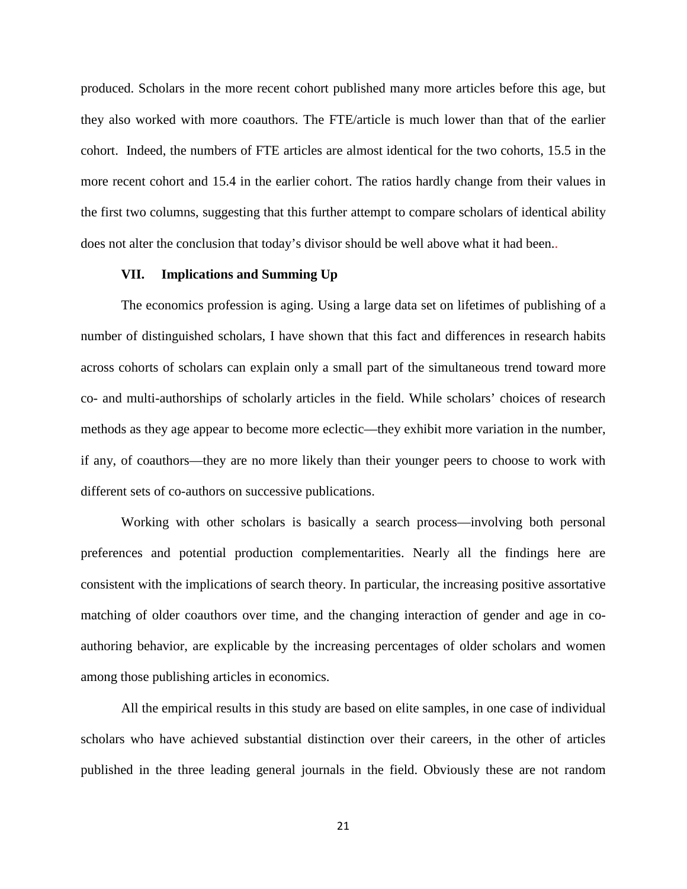produced. Scholars in the more recent cohort published many more articles before this age, but they also worked with more coauthors. The FTE/article is much lower than that of the earlier cohort. Indeed, the numbers of FTE articles are almost identical for the two cohorts, 15.5 in the more recent cohort and 15.4 in the earlier cohort. The ratios hardly change from their values in the first two columns, suggesting that this further attempt to compare scholars of identical ability does not alter the conclusion that today's divisor should be well above what it had been..

#### **VII. Implications and Summing Up**

The economics profession is aging. Using a large data set on lifetimes of publishing of a number of distinguished scholars, I have shown that this fact and differences in research habits across cohorts of scholars can explain only a small part of the simultaneous trend toward more co- and multi-authorships of scholarly articles in the field. While scholars' choices of research methods as they age appear to become more eclectic—they exhibit more variation in the number, if any, of coauthors—they are no more likely than their younger peers to choose to work with different sets of co-authors on successive publications.

Working with other scholars is basically a search process—involving both personal preferences and potential production complementarities. Nearly all the findings here are consistent with the implications of search theory. In particular, the increasing positive assortative matching of older coauthors over time, and the changing interaction of gender and age in coauthoring behavior, are explicable by the increasing percentages of older scholars and women among those publishing articles in economics.

All the empirical results in this study are based on elite samples, in one case of individual scholars who have achieved substantial distinction over their careers, in the other of articles published in the three leading general journals in the field. Obviously these are not random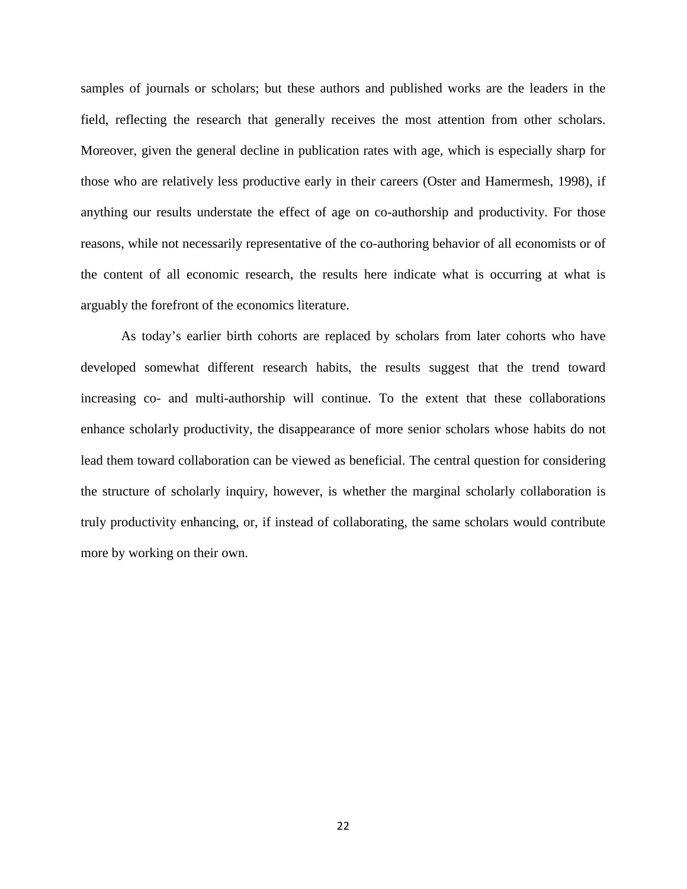samples of journals or scholars; but these authors and published works are the leaders in the field, reflecting the research that generally receives the most attention from other scholars. Moreover, given the general decline in publication rates with age, which is especially sharp for those who are relatively less productive early in their careers (Oster and Hamermesh, 1998), if anything our results understate the effect of age on co-authorship and productivity. For those reasons, while not necessarily representative of the co-authoring behavior of all economists or of the content of all economic research, the results here indicate what is occurring at what is arguably the forefront of the economics literature.

As today's earlier birth cohorts are replaced by scholars from later cohorts who have developed somewhat different research habits, the results suggest that the trend toward increasing co- and multi-authorship will continue. To the extent that these collaborations enhance scholarly productivity, the disappearance of more senior scholars whose habits do not lead them toward collaboration can be viewed as beneficial. The central question for considering the structure of scholarly inquiry, however, is whether the marginal scholarly collaboration is truly productivity enhancing, or, if instead of collaborating, the same scholars would contribute more by working on their own.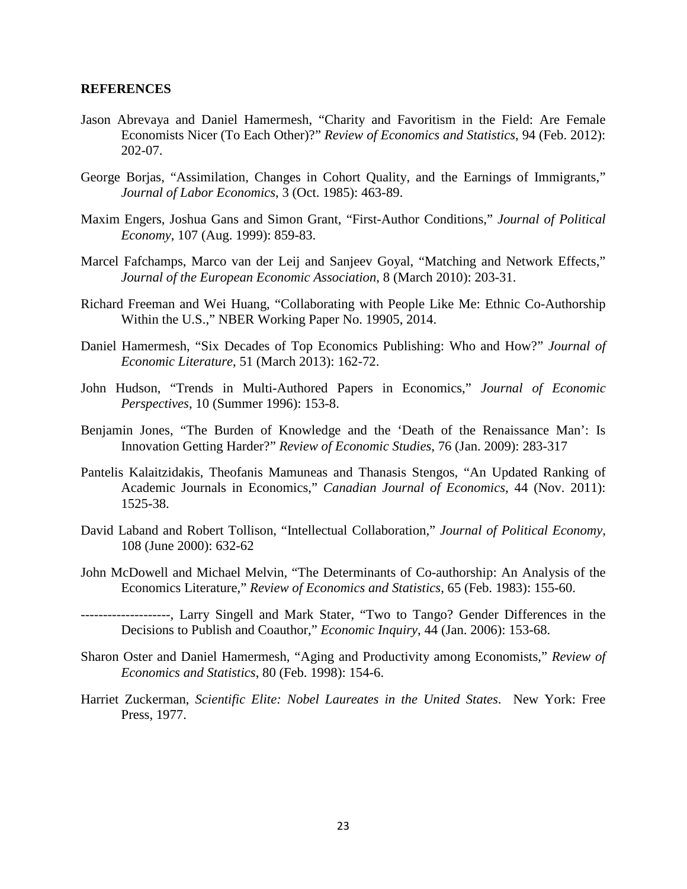#### **REFERENCES**

- Jason Abrevaya and Daniel Hamermesh, "Charity and Favoritism in the Field: Are Female Economists Nicer (To Each Other)?" *Review of Economics and Statistics*, 94 (Feb. 2012): 202-07.
- George Borjas, "Assimilation, Changes in Cohort Quality, and the Earnings of Immigrants," *Journal of Labor Economics*, 3 (Oct. 1985): 463-89.
- Maxim Engers, Joshua Gans and Simon Grant, "First-Author Conditions," *Journal of Political Economy*, 107 (Aug. 1999): 859-83.
- Marcel Fafchamps, Marco van der Leij and Sanjeev Goyal, "Matching and Network Effects," *Journal of the European Economic Association*, 8 (March 2010): 203-31.
- Richard Freeman and Wei Huang, "Collaborating with People Like Me: Ethnic Co-Authorship Within the U.S.," NBER Working Paper No. 19905, 2014.
- Daniel Hamermesh, "Six Decades of Top Economics Publishing: Who and How?" *Journal of Economic Literature*, 51 (March 2013): 162-72.
- John Hudson, "Trends in Multi-Authored Papers in Economics," *Journal of Economic Perspectives*, 10 (Summer 1996): 153-8.
- Benjamin Jones, "The Burden of Knowledge and the 'Death of the Renaissance Man': Is Innovation Getting Harder?" *Review of Economic Studies*, 76 (Jan. 2009): 283-317
- Pantelis Kalaitzidakis, Theofanis Mamuneas and Thanasis Stengos, "An Updated Ranking of Academic Journals in Economics," *Canadian Journal of Economics*, 44 (Nov. 2011): 1525-38.
- David Laband and Robert Tollison, "Intellectual Collaboration," *Journal of Political Economy*, 108 (June 2000): 632-62
- John McDowell and Michael Melvin, "The Determinants of Co-authorship: An Analysis of the Economics Literature," *Review of Economics and Statistics*, 65 (Feb. 1983): 155-60.
- --------------------, Larry Singell and Mark Stater, "Two to Tango? Gender Differences in the Decisions to Publish and Coauthor," *Economic Inquiry*, 44 (Jan. 2006): 153-68.
- Sharon Oster and Daniel Hamermesh, "Aging and Productivity among Economists," *Review of Economics and Statistics*, 80 (Feb. 1998): 154-6.
- Harriet Zuckerman, *Scientific Elite: Nobel Laureates in the United States*. New York: Free Press, 1977.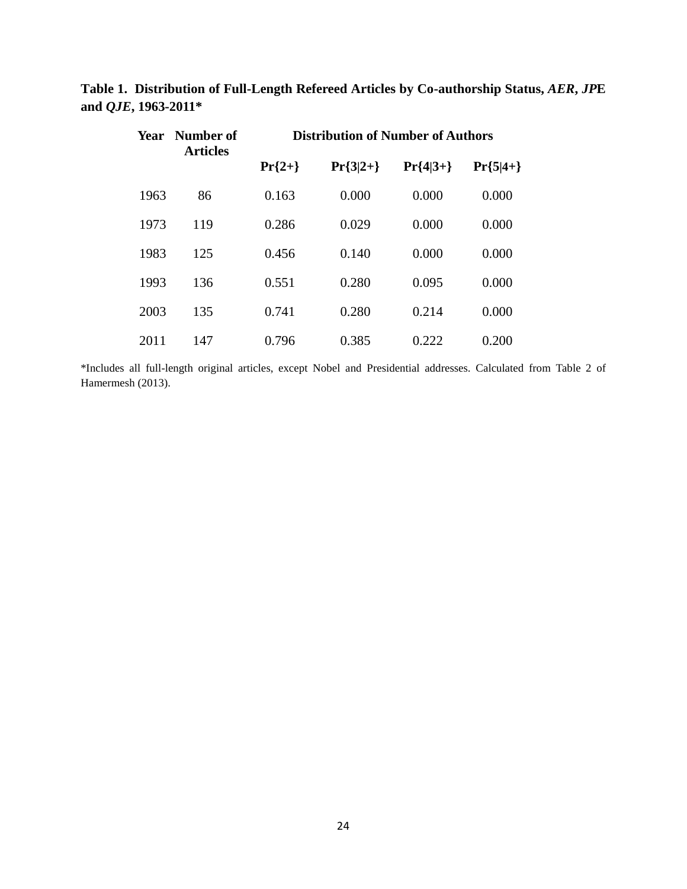|  | Year | - Number of<br><b>Articles</b> | <b>Distribution of Number of Authors</b> |            |            |            |  |
|--|------|--------------------------------|------------------------------------------|------------|------------|------------|--|
|  |      |                                | $Pr{2+}$                                 | $Pr{3 2+}$ | $Pr{4 3+}$ | $Pr{5 4+}$ |  |
|  | 1963 | 86                             | 0.163                                    | 0.000      | 0.000      | 0.000      |  |
|  | 1973 | 119                            | 0.286                                    | 0.029      | 0.000      | 0.000      |  |
|  | 1983 | 125                            | 0.456                                    | 0.140      | 0.000      | 0.000      |  |
|  | 1993 | 136                            | 0.551                                    | 0.280      | 0.095      | 0.000      |  |
|  | 2003 | 135                            | 0.741                                    | 0.280      | 0.214      | 0.000      |  |
|  | 2011 | 147                            | 0.796                                    | 0.385      | 0.222      | 0.200      |  |

**Table 1. Distribution of Full-Length Refereed Articles by Co-authorship Status,** *AER***,** *JP***E and** *QJE***, 1963-2011\***

\*Includes all full-length original articles, except Nobel and Presidential addresses. Calculated from Table 2 of Hamermesh (2013).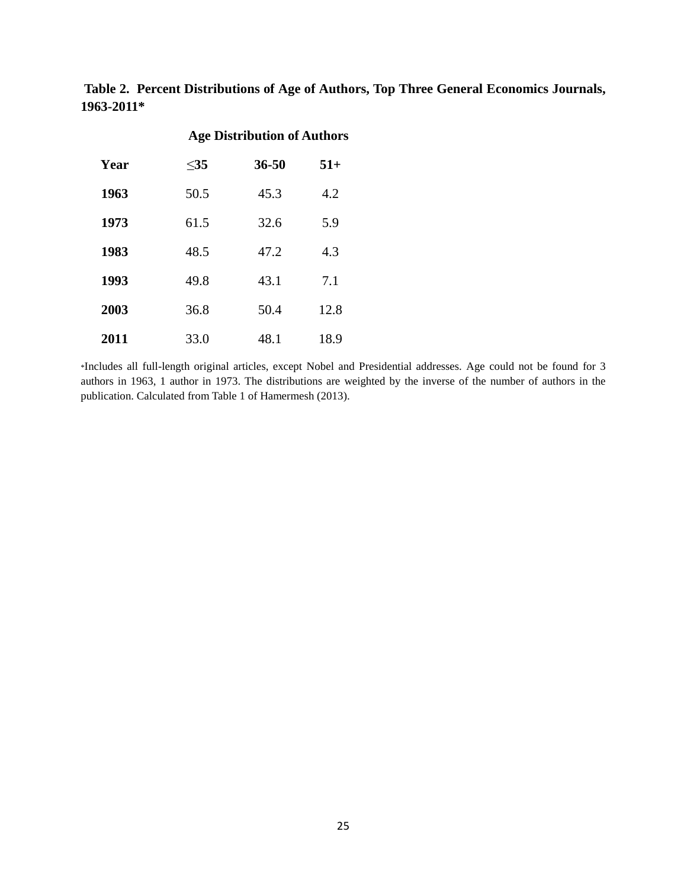**Table 2. Percent Distributions of Age of Authors, Top Three General Economics Journals, 1963-2011\***

|      |        | <b>Age Distribution of Authors</b> |       |  |  |
|------|--------|------------------------------------|-------|--|--|
| Year | $<$ 35 | $36 - 50$                          | $51+$ |  |  |
| 1963 | 50.5   | 45.3                               | 4.2   |  |  |
| 1973 | 61.5   | 32.6                               | 5.9   |  |  |
| 1983 | 48.5   | 47.2                               | 4.3   |  |  |
| 1993 | 49.8   | 43.1                               | 7.1   |  |  |
| 2003 | 36.8   | 50.4                               | 12.8  |  |  |
| 2011 | 33.0   | 48.1                               | 18.9  |  |  |

\*Includes all full-length original articles, except Nobel and Presidential addresses. Age could not be found for 3 authors in 1963, 1 author in 1973. The distributions are weighted by the inverse of the number of authors in the publication. Calculated from Table 1 of Hamermesh (2013).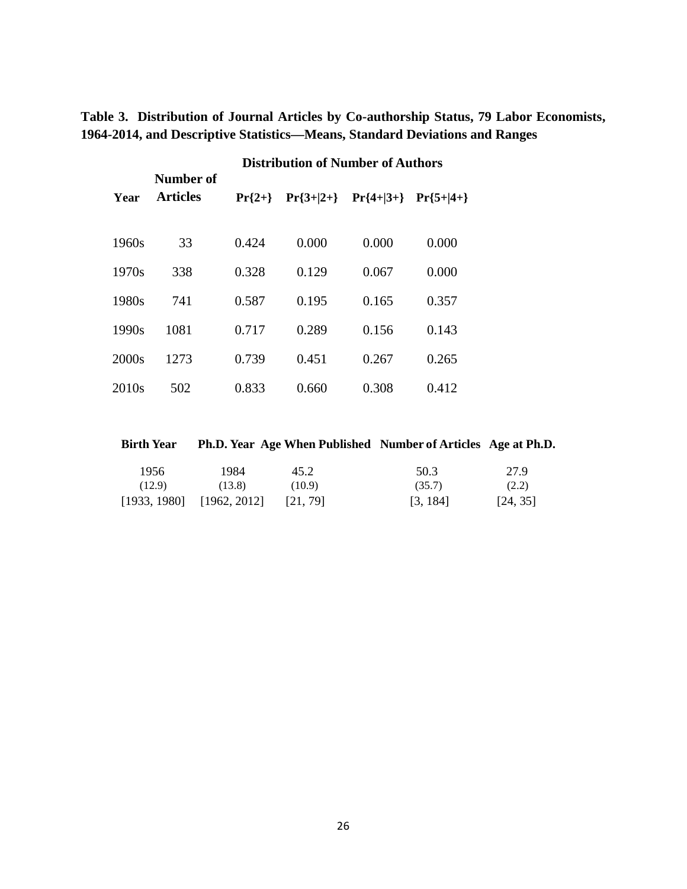**Table 3. Distribution of Journal Articles by Co-authorship Status, 79 Labor Economists, 1964-2014, and Descriptive Statistics—Means, Standard Deviations and Ranges**

|                   | Number of       | <b>Distribution of Number of Authors</b> |             |             |             |  |
|-------------------|-----------------|------------------------------------------|-------------|-------------|-------------|--|
| Year              | <b>Articles</b> | $Pr{2+}$                                 | $Pr{3+ 2+}$ | $Pr{4+ 3+}$ | $Pr{5+ 4+}$ |  |
| 1960s             | 33              | 0.424                                    | 0.000       | 0.000       | 0.000       |  |
| 1970s             | 338             | 0.328                                    | 0.129       | 0.067       | 0.000       |  |
| 1980s             | 741             | 0.587                                    | 0.195       | 0.165       | 0.357       |  |
| 1990s             | 1081            | 0.717                                    | 0.289       | 0.156       | 0.143       |  |
| 2000s             | 1273            | 0.739                                    | 0.451       | 0.267       | 0.265       |  |
| 2010 <sub>s</sub> | 502             | 0.833                                    | 0.660       | 0.308       | 0.412       |  |

**Birth Year Ph.D. Year Age When Published Number of Articles Age at Ph.D.** 1956 1984 45.2 50.3 27.9  $(12.9)$   $(13.8)$   $(10.9)$   $(35.7)$   $(2.2)$ [1933, 1980] [1962, 2012] [21, 79] [3, 184] [24, 35]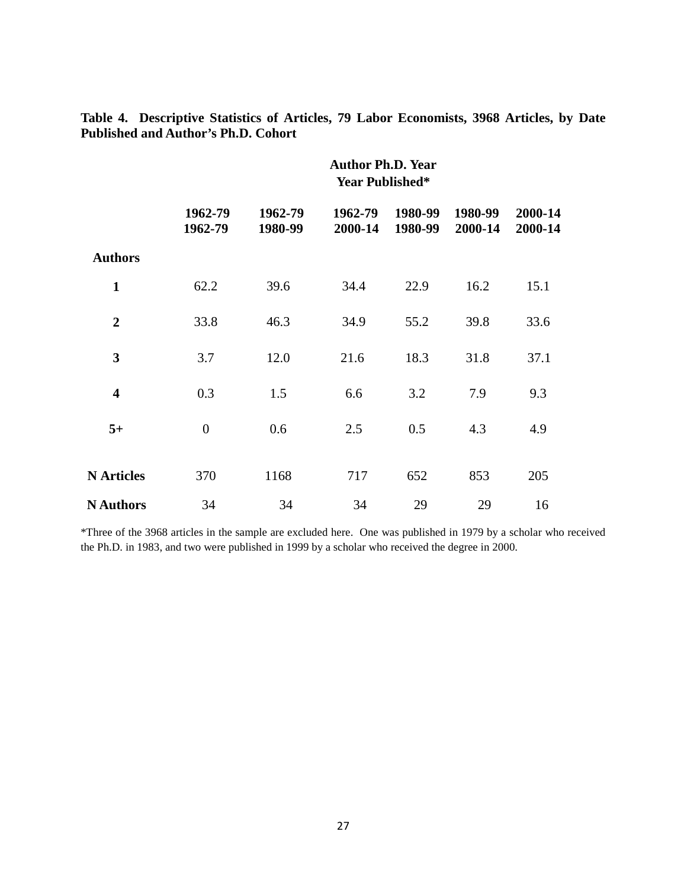|                         | <b>Author Ph.D. Year</b><br><b>Year Published*</b> |                    |                    |                    |                    |                    |
|-------------------------|----------------------------------------------------|--------------------|--------------------|--------------------|--------------------|--------------------|
|                         | 1962-79<br>1962-79                                 | 1962-79<br>1980-99 | 1962-79<br>2000-14 | 1980-99<br>1980-99 | 1980-99<br>2000-14 | 2000-14<br>2000-14 |
| <b>Authors</b>          |                                                    |                    |                    |                    |                    |                    |
| $\mathbf{1}$            | 62.2                                               | 39.6               | 34.4               | 22.9               | 16.2               | 15.1               |
| $\overline{2}$          | 33.8                                               | 46.3               | 34.9               | 55.2               | 39.8               | 33.6               |
| 3                       | 3.7                                                | 12.0               | 21.6               | 18.3               | 31.8               | 37.1               |
| $\overline{\mathbf{4}}$ | 0.3                                                | 1.5                | 6.6                | 3.2                | 7.9                | 9.3                |
| $5+$                    | $\overline{0}$                                     | 0.6                | 2.5                | 0.5                | 4.3                | 4.9                |
| <b>N</b> Articles       | 370                                                | 1168               | 717                | 652                | 853                | 205                |
| <b>N</b> Authors        | 34                                                 | 34                 | 34                 | 29                 | 29                 | 16                 |

**Table 4. Descriptive Statistics of Articles, 79 Labor Economists, 3968 Articles, by Date Published and Author's Ph.D. Cohort**

\*Three of the 3968 articles in the sample are excluded here. One was published in 1979 by a scholar who received the Ph.D. in 1983, and two were published in 1999 by a scholar who received the degree in 2000.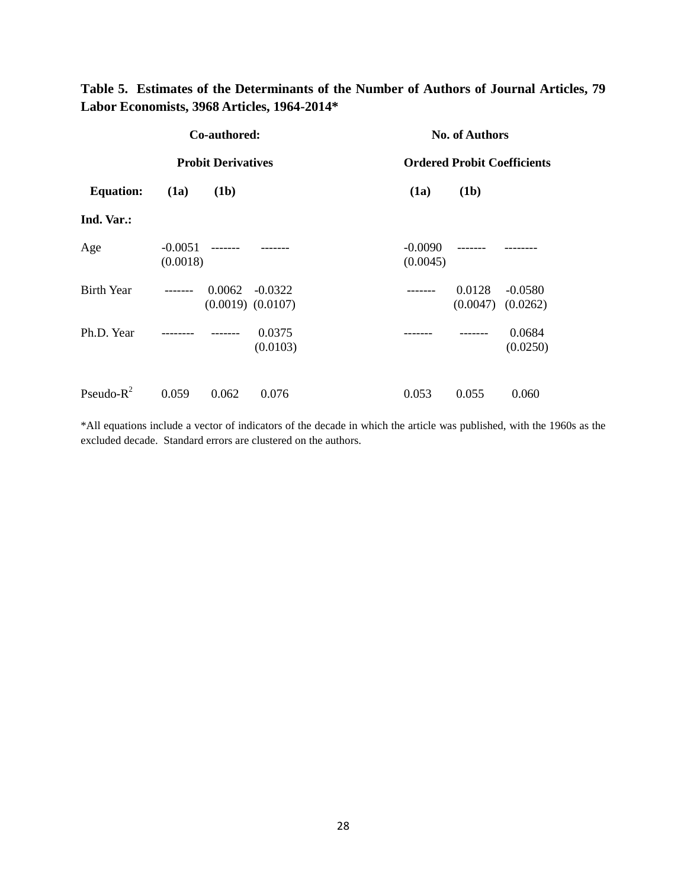#### **Table 5. Estimates of the Determinants of the Number of Authors of Journal Articles, 79 Labor Economists, 3968 Articles, 1964-2014\***

| Co-authored:              |                       |          | <b>No. of Authors</b>              |                                    |                    |                       |
|---------------------------|-----------------------|----------|------------------------------------|------------------------------------|--------------------|-----------------------|
| <b>Probit Derivatives</b> |                       |          |                                    | <b>Ordered Probit Coefficients</b> |                    |                       |
| <b>Equation:</b>          | (1a)                  | (1b)     |                                    | (1a)                               | (1b)               |                       |
| Ind. Var.:                |                       |          |                                    |                                    |                    |                       |
| Age                       | $-0.0051$<br>(0.0018) | -------  |                                    | $-0.0090$<br>(0.0045)              | -------            |                       |
| <b>Birth Year</b>         | --------              | 0.0062   | $-0.0322$<br>$(0.0019)$ $(0.0107)$ |                                    | 0.0128<br>(0.0047) | $-0.0580$<br>(0.0262) |
| Ph.D. Year                |                       | ________ | 0.0375<br>(0.0103)                 |                                    |                    | 0.0684<br>(0.0250)    |
| Pseudo- $R^2$             | 0.059                 | 0.062    | 0.076                              | 0.053                              | 0.055              | 0.060                 |

\*All equations include a vector of indicators of the decade in which the article was published, with the 1960s as the excluded decade. Standard errors are clustered on the authors.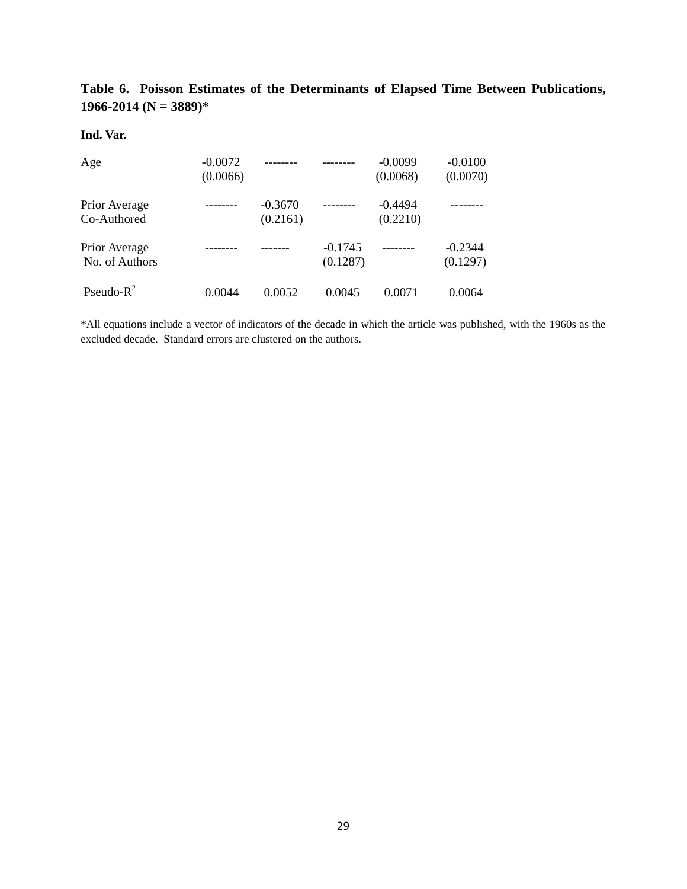**Table 6. Poisson Estimates of the Determinants of Elapsed Time Between Publications, 1966-2014 (N = 3889)\*** 

#### **Ind. Var.**

| Age                             | $-0.0072$<br>(0.0066) |                       |                       | $-0.0099$<br>(0.0068) | $-0.0100$<br>(0.0070) |
|---------------------------------|-----------------------|-----------------------|-----------------------|-----------------------|-----------------------|
| Prior Average<br>Co-Authored    |                       | $-0.3670$<br>(0.2161) |                       | $-0.4494$<br>(0.2210) |                       |
| Prior Average<br>No. of Authors |                       |                       | $-0.1745$<br>(0.1287) |                       | $-0.2344$<br>(0.1297) |
| Pseudo- $R^2$                   | 0.0044                | 0.0052                | 0.0045                | 0.0071                | 0.0064                |

\*All equations include a vector of indicators of the decade in which the article was published, with the 1960s as the excluded decade. Standard errors are clustered on the authors.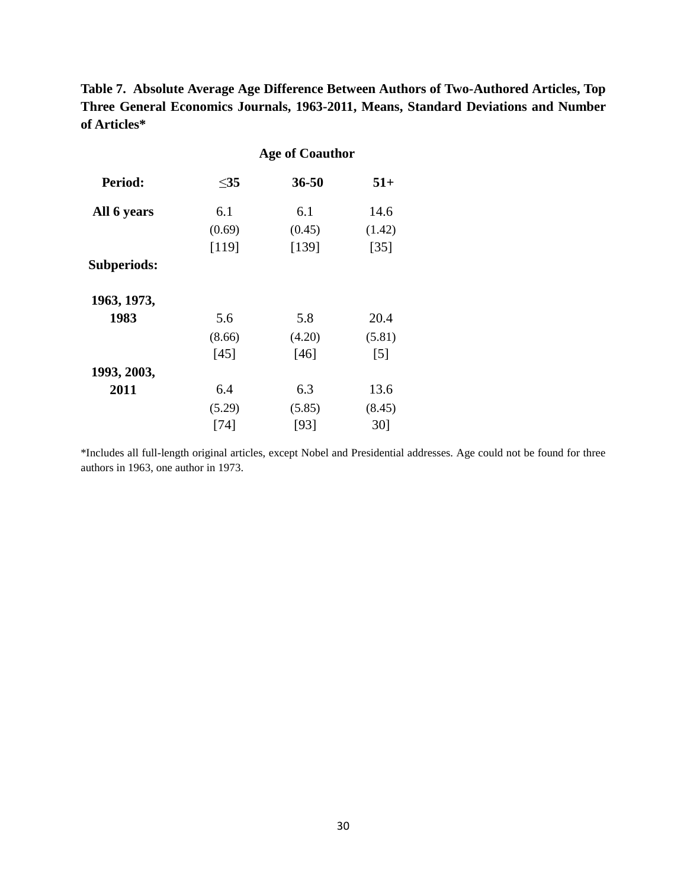**Table 7. Absolute Average Age Difference Between Authors of Two-Authored Articles, Top Three General Economics Journals, 1963-2011, Means, Standard Deviations and Number of Articles\***

|             |           | <b>Age of Coauthor</b> |                   |
|-------------|-----------|------------------------|-------------------|
| Period:     | $\leq$ 35 | 36-50                  | $51+$             |
| All 6 years | 6.1       | 6.1                    | 14.6              |
|             | (0.69)    | (0.45)                 | (1.42)            |
|             | [119]     | [139]                  | $[35]$            |
| Subperiods: |           |                        |                   |
| 1963, 1973, |           |                        |                   |
| 1983        | 5.6       | 5.8                    | 20.4              |
|             | (8.66)    | (4.20)                 | (5.81)            |
|             | [45]      | $[46]$                 | $\lceil 5 \rceil$ |
| 1993, 2003, |           |                        |                   |
| 2011        | 6.4       | 6.3                    | 13.6              |
|             | (5.29)    | (5.85)                 | (8.45)            |
|             | [74]      | [93]                   | 30]               |

\*Includes all full-length original articles, except Nobel and Presidential addresses. Age could not be found for three authors in 1963, one author in 1973.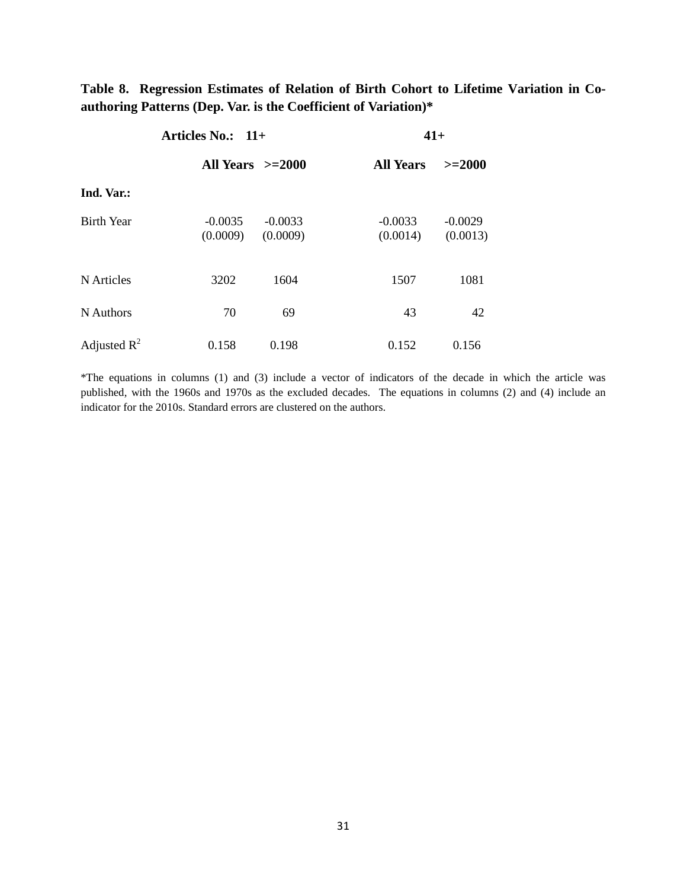**Table 8. Regression Estimates of Relation of Birth Cohort to Lifetime Variation in Coauthoring Patterns (Dep. Var. is the Coefficient of Variation)\*** 

|                   | Articles No.: 11+     | $41+$                 |                       |                       |
|-------------------|-----------------------|-----------------------|-----------------------|-----------------------|
|                   | All Years $>=2000$    |                       | <b>All Years</b>      | $>=2000$              |
| Ind. Var.:        |                       |                       |                       |                       |
| <b>Birth Year</b> | $-0.0035$<br>(0.0009) | $-0.0033$<br>(0.0009) | $-0.0033$<br>(0.0014) | $-0.0029$<br>(0.0013) |
| N Articles        | 3202                  | 1604                  | 1507                  | 1081                  |
| N Authors         | 70                    | 69                    | 43                    | 42                    |
| Adjusted $R^2$    | 0.158                 | 0.198                 | 0.152                 | 0.156                 |

\*The equations in columns (1) and (3) include a vector of indicators of the decade in which the article was published, with the 1960s and 1970s as the excluded decades. The equations in columns (2) and (4) include an indicator for the 2010s. Standard errors are clustered on the authors.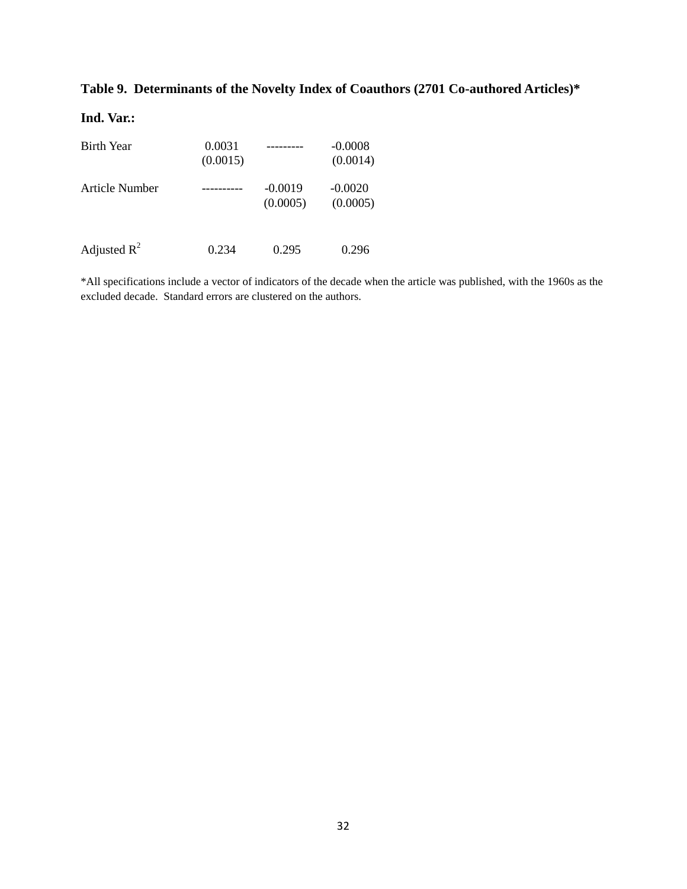#### **Table 9. Determinants of the Novelty Index of Coauthors (2701 Co-authored Articles)\***

#### **Ind. Var.:**

| <b>Birth Year</b> | 0.0031<br>(0.0015) | .                     | $-0.0008$<br>(0.0014) |
|-------------------|--------------------|-----------------------|-----------------------|
| Article Number    |                    | $-0.0019$<br>(0.0005) | $-0.0020$<br>(0.0005) |
| Adjusted $R^2$    | 0.234              | 0.295                 | 0.296                 |

\*All specifications include a vector of indicators of the decade when the article was published, with the 1960s as the excluded decade. Standard errors are clustered on the authors.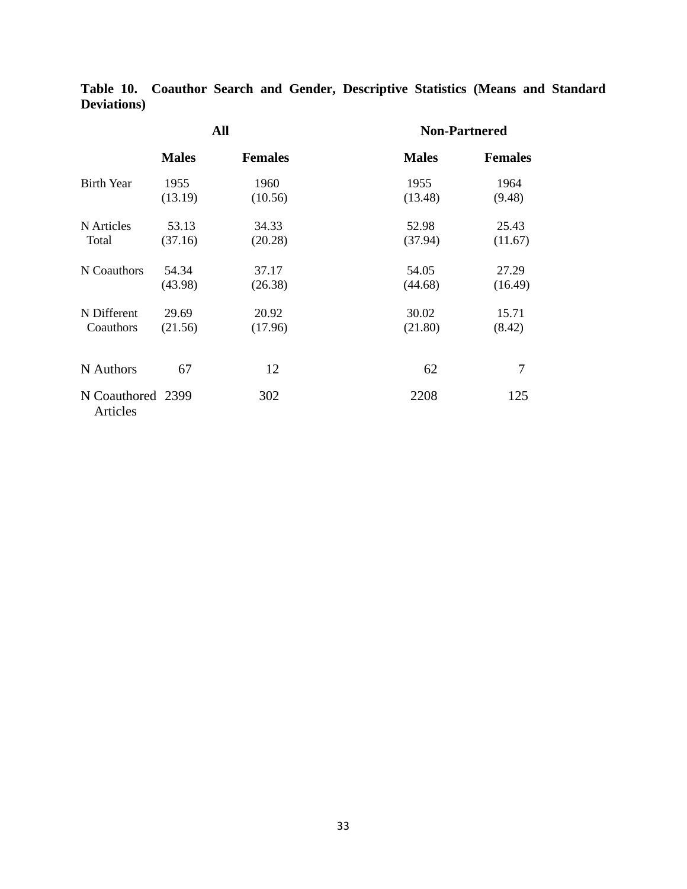|                               | All          |                | <b>Non-Partnered</b> |                |  |
|-------------------------------|--------------|----------------|----------------------|----------------|--|
|                               | <b>Males</b> | <b>Females</b> | <b>Males</b>         | <b>Females</b> |  |
| <b>Birth Year</b>             | 1955         | 1960           | 1955                 | 1964           |  |
|                               | (13.19)      | (10.56)        | (13.48)              | (9.48)         |  |
| N Articles                    | 53.13        | 34.33          | 52.98                | 25.43          |  |
| Total                         | (37.16)      | (20.28)        | (37.94)              | (11.67)        |  |
| N Coauthors                   | 54.34        | 37.17          | 54.05                | 27.29          |  |
|                               | (43.98)      | (26.38)        | (44.68)              | (16.49)        |  |
| N Different                   | 29.69        | 20.92          | 30.02                | 15.71          |  |
| Coauthors                     | (21.56)      | (17.96)        | (21.80)              | (8.42)         |  |
| N Authors                     | 67           | 12             | 62                   | 7              |  |
| N Coauthored 2399<br>Articles |              | 302            | 2208                 | 125            |  |

**Table 10. Coauthor Search and Gender, Descriptive Statistics (Means and Standard Deviations)**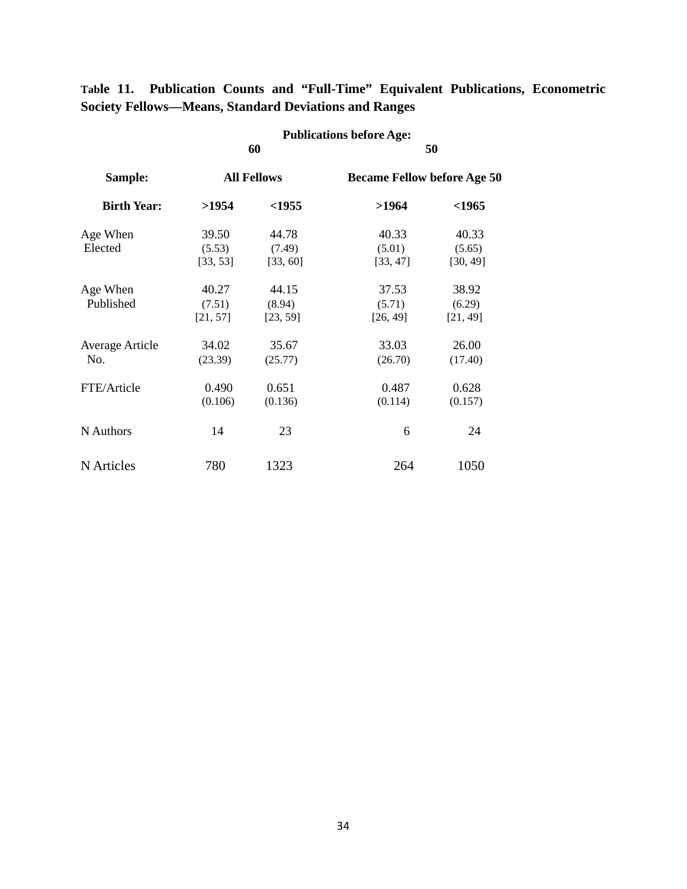|                        |          | <b>Publications before Age:</b> |                                    |          |  |
|------------------------|----------|---------------------------------|------------------------------------|----------|--|
|                        |          | 60                              |                                    | 50       |  |
| Sample:                |          | <b>All Fellows</b>              | <b>Became Fellow before Age 50</b> |          |  |
| <b>Birth Year:</b>     | >1954    | $<$ 1955                        | >1964                              | $<$ 1965 |  |
| Age When               | 39.50    | 44.78                           | 40.33                              | 40.33    |  |
| Elected                | (5.53)   | (7.49)                          | (5.01)                             | (5.65)   |  |
|                        | [33, 53] | [33, 60]                        | [33, 47]                           | [30, 49] |  |
| Age When               | 40.27    | 44.15                           | 37.53                              | 38.92    |  |
| Published              | (7.51)   | (8.94)                          | (5.71)                             | (6.29)   |  |
|                        | [21, 57] | [23, 59]                        | [26, 49]                           | [21, 49] |  |
| <b>Average Article</b> | 34.02    | 35.67                           | 33.03                              | 26.00    |  |
| No.                    | (23.39)  | (25.77)                         | (26.70)                            | (17.40)  |  |
| FTE/Article            | 0.490    | 0.651                           | 0.487                              | 0.628    |  |
|                        | (0.106)  | (0.136)                         | (0.114)                            | (0.157)  |  |
| N Authors              | 14       | 23                              | 6                                  | 24       |  |
| N Articles             | 780      | 1323                            | 264                                | 1050     |  |

**Table 11. Publication Counts and "Full-Time" Equivalent Publications, Econometric Society Fellows—Means, Standard Deviations and Ranges**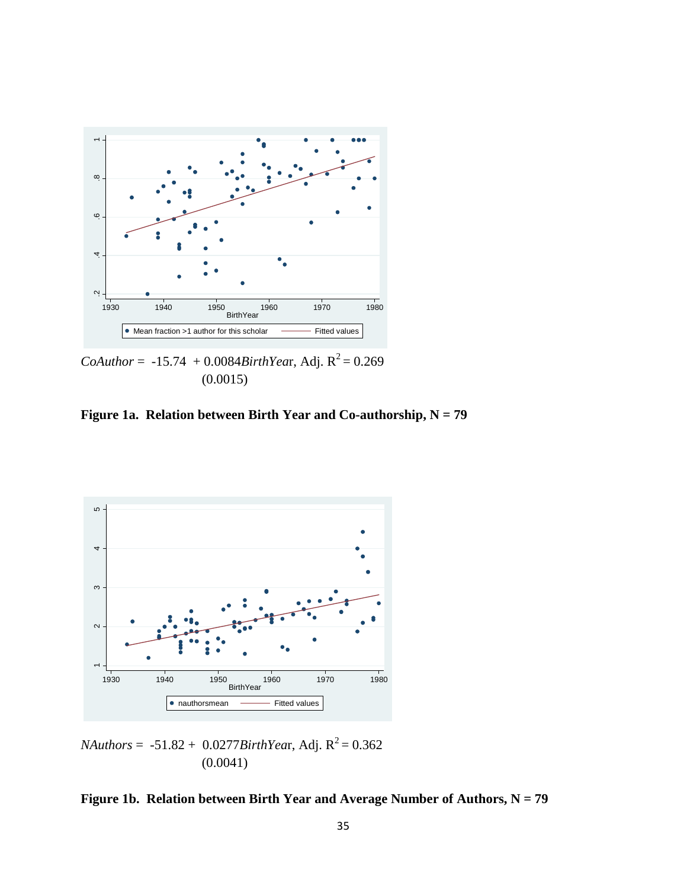

(0.0015)

**Figure 1a. Relation between Birth Year and Co-authorship, N = 79**



 $$ (0.0041)

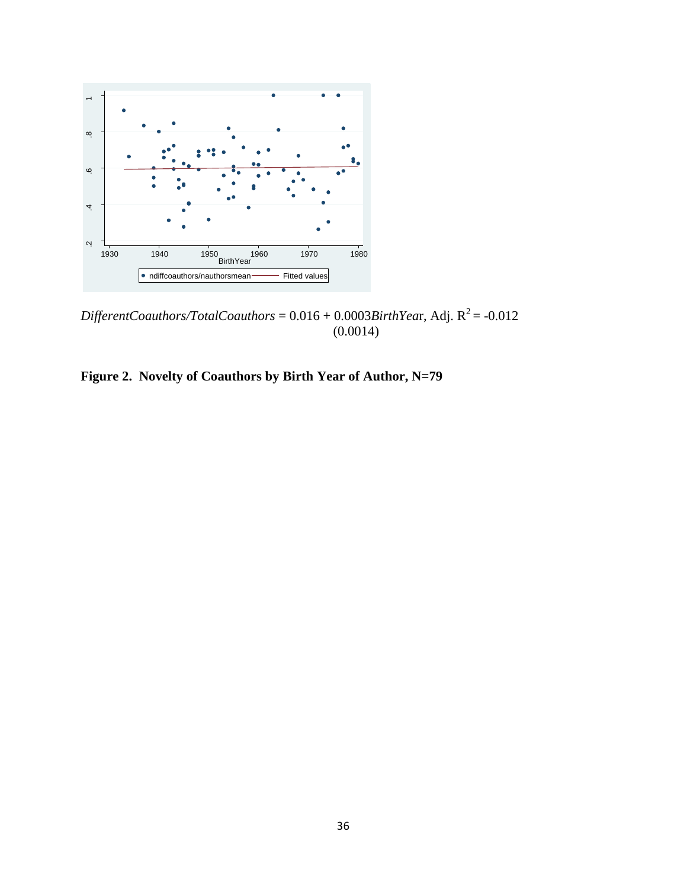

 $\text{Different Coauthors/TotalCo authors} = 0.016 + 0.0003 \text{BirthYear}$ , Adj.  $\text{R}^2$  = -0.012 (0.0014)

<span id="page-38-0"></span>